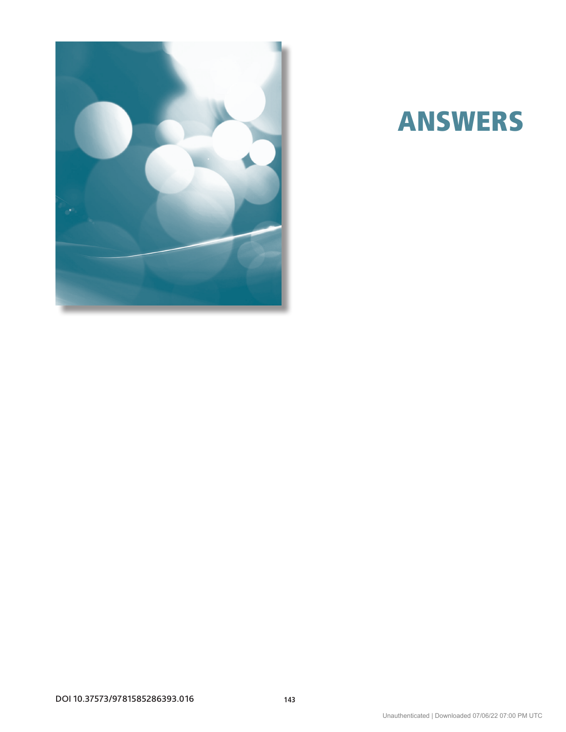

# ANSWERs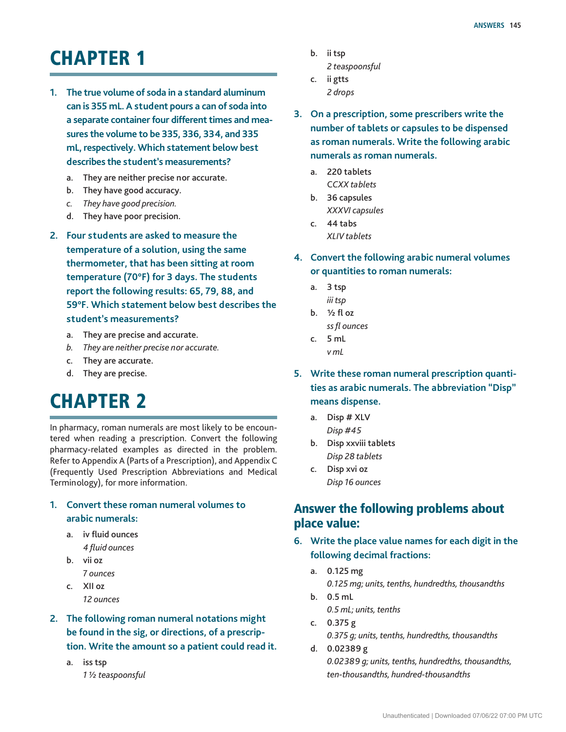## **CHAPTER 1**

- **1. The true volume of soda in a standard aluminum can is 355 mL. A student pours a can of soda into a separate container four different times and measures the volume to be 335, 336, 334, and 335 mL, respectively. Which statement below best describes the student's measurements?**
	- a. They are neither precise nor accurate.
	- b. They have good accuracy.
	- *c. They have good precision.*
	- d. They have poor precision.
- **2. Four students are asked to measure the temperature of a solution, using the same thermometer, that has been sitting at room temperature (70°F) for 3 days. The students report the following results: 65, 79, 88, and 59°F. Which statement below best describes the student's measurements?**
	- a. They are precise and accurate.
	- *b. They are neither precise nor accurate.*
	- c. They are accurate.
	- d. They are precise.

## **CHAPTER 2**

In pharmacy, roman numerals are most likely to be encountered when reading a prescription. Convert the following pharmacy-related examples as directed in the problem. Refer to Appendix A (Parts of a Prescription), and Appendix C (Frequently Used Prescription Abbreviations and Medical Terminology), for more information.

### **1. Convert these roman numeral volumes to arabic numerals:**

- a. iv fluid ounces *4 fluid ounces*
- b. vii oz
	- 7 *ounces*
- c. XII oz *12 ounces*
- **2. The following roman numeral notations might be found in the sig, or directions, of a prescription. Write the amount so a patient could read it.**
	- a. iss tsp *1 ½ teaspoonsful*
- b. ii tsp
	- *2 teaspoonsful*
- c. ii gtts *2 drops*
- **3. On a prescription, some prescribers write the number of tablets or capsules to be dispensed as roman numerals. Write the following arabic numerals as roman numerals.**
	- a. 220 tablets C*CXX tablets*
	- b. 36 capsules
	- *XXXVI capsules*
	- c. 44 tabs *XLIV tablets*
- **4. Convert the following arabic numeral volumes or quantities to roman numerals:**
	- a. 3 tsp *iii tsp*
	- b.  $\frac{1}{2}$  fl oz *ss fl ounces*
	- c. 5 mL *v mL*
- **5. Write these roman numeral prescription quantities as arabic numerals. The abbreviation "Disp" means dispense.**
	- a. Disp # XLV *Disp #45*
	- b. Disp xxviii tablets *Disp 28 tablets*
	- c. Disp xvi oz *Disp 16 ounces*

## Answer the following problems about place value:

- **6. Write the place value names for each digit in the following decimal fractions:**
	- a. 0.125 mg *0.125 mg; units, tenths, hundredths, thousandths*
	- b. 0.5 mL *0.5 mL; units, tenths*
	- c. 0.375 g *0.375 g; units, tenths, hundredths, thousandths*
	- d. 0.02389 g *0.02389 g; units, tenths, hundredths, thousandths, ten-thousandths, hundred-thousandths*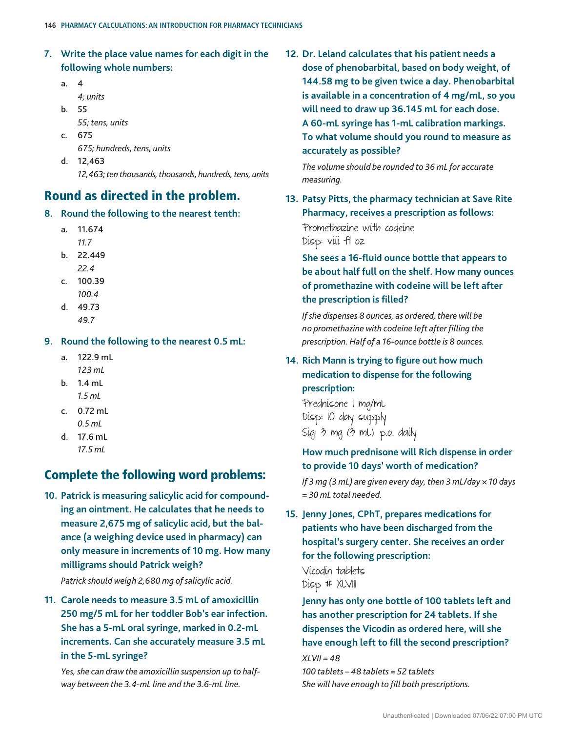- **7. Write the place value names for each digit in the following whole numbers:**
	- a. 4
		- *4; units*
	- b. 55
		- *55; tens, units*
	- c. 675

*675; hundreds, tens, units*

d. 12,463 *12,463; ten thousands, thousands, hundreds, tens, units*

## Round as directed in the problem.

- **8. Round the following to the nearest tenth:**
	- a. 11.674
		- *11.7*
	- b. 22.449 *22.4*
	- c. 100.39
		- *100.4*
	- d. 49.73
		- *49.7*

**9. Round the following to the nearest 0.5 mL:**

- a. 122.9 mL *123 mL*
- b. 1.4 mL *1.5 mL*
- c. 0.72 mL *0.5 mL*
- d. 17.6 mL *17.5 mL*

## Complete the following word problems:

**10. Patrick is measuring salicylic acid for compounding an ointment. He calculates that he needs to measure 2,675 mg of salicylic acid, but the balance (a weighing device used in pharmacy) can only measure in increments of 10 mg. How many milligrams should Patrick weigh?**

*Patrick should weigh 2,680 mg of salicylic acid.*

**11. Carole needs to measure 3.5 mL of amoxicillin 250 mg/5 mL for her toddler Bob's ear infection. She has a 5-mL oral syringe, marked in 0.2-mL increments. Can she accurately measure 3.5 mL in the 5-mL syringe?**

*Yes, she can draw the amoxicillin suspension up to halfway between the 3.4-mL line and the 3.6-mL line.*

**12. Dr. Leland calculates that his patient needs a dose of phenobarbital, based on body weight, of 144.58 mg to be given twice a day. Phenobarbital is available in a concentration of 4 mg/mL, so you will need to draw up 36.145 mL for each dose. A 60-mL syringe has 1-mL calibration markings. To what volume should you round to measure as accurately as possible?**

*The volume should be rounded to 36 mL for accurate measuring.*

**13. Patsy Pitts, the pharmacy technician at Save Rite Pharmacy, receives a prescription as follows:** Promethazine with codeine Disp: viii fl oz

**She sees a 16-fluid ounce bottle that appears to be about half full on the shelf. How many ounces of promethazine with codeine will be left after the prescription is filled?**

*If she dispenses 8 ounces, as ordered, there will be no promethazine with codeine left after filling the prescription. Half of a 16-ounce bottle is 8 ounces.*

**14. Rich Mann is trying to figure out how much medication to dispense for the following prescription:**

Prednisone 1 mg/mL Disp: 10 day supply Sig: 3 mg (3 mL) p.o. daily

## **How much prednisone will Rich dispense in order to provide 10 days' worth of medication?**

*If 3 mg (3 mL) are given every day, then 3 mL/day × 10 days = 30 mL total needed.*

**15. Jenny Jones, CPhT, prepares medications for patients who have been discharged from the hospital's surgery center. She receives an order for the following prescription:**

Vicodin tablets Disp # XLVIII

**Jenny has only one bottle of 100 tablets left and has another prescription for 24 tablets. If she dispenses the Vicodin as ordered here, will she have enough left to fill the second prescription?**

*XLVII = 48*

*100 tablets – 48 tablets = 52 tablets She will have enough to fill both prescriptions.*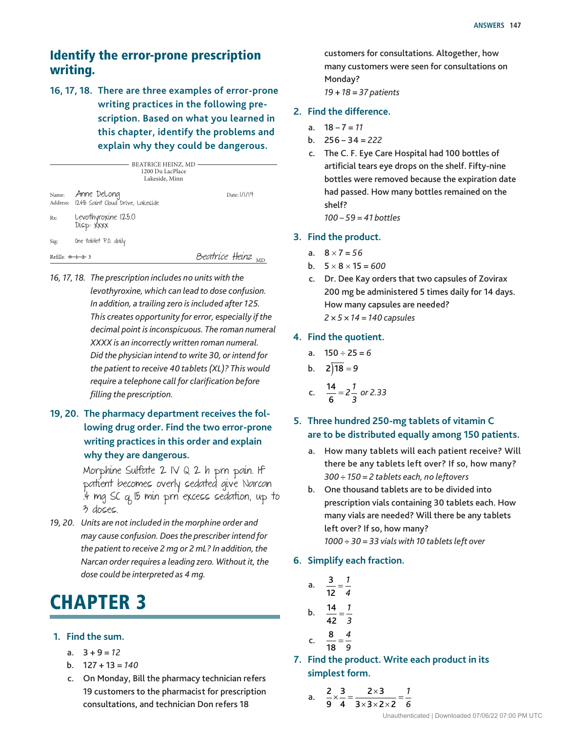## Identify the error-prone prescription writing.

**16, 17, 18. There are three examples of error-prone writing practices in the following prescription. Based on what you learned in this chapter, identify the problems and explain why they could be dangerous.**

|                         |                                                          | <b>BEATRICE HEINZ, MD</b><br>1200 Du LacPlace<br>Lakeside, Minn |                              |
|-------------------------|----------------------------------------------------------|-----------------------------------------------------------------|------------------------------|
| Name:                   | Anne DeLong<br>Address: 1248 Saint Cloud Drive, Lakeside |                                                                 | Date: 1/1/19                 |
| Rx:                     | Levothyroxine 125.0<br>Disp: XXXX                        |                                                                 |                              |
| Sig:                    | One tablet P.O. daily                                    |                                                                 |                              |
| Refills: $\theta$ + 2 3 |                                                          |                                                                 | Beatrice Heinz <sub>MD</sub> |

*16, 17, 18. The prescription includes no units with the levothyroxine, which can lead to dose confusion. In addition, a trailing zero is included after 125. This creates opportunity for error, especially if the decimal point is inconspicuous. The roman numeral XXXX is an incorrectly written roman numeral. Did the physician intend to write 30, or intend for the patient to receive 40 tablets (XL)? This would require a telephone call for clarification before filling the prescription.*

## **19, 20. The pharmacy department receives the following drug order. Find the two error-prone writing practices in this order and explain why they are dangerous.**

Morphine Sulfate 2 IV Q 2 h prn pain. If patient becomes overly sedated give Narcan .4 mg SC q 15 min prn excess sedation, up to 3 doses.

*19, 20. Units are not included in the morphine order and may cause confusion. Does the prescriber intend for the patient to receive 2 mg or 2 mL? In addition, the Narcan order requires a leading zero. Without it, the dose could be interpreted as 4 mg.*

## **CHAPTER 3**

- **1. Find the sum.**
	- a. 3 + 9 = *12*
	- b. 127 + 13 = *140*
	- c. On Monday, Bill the pharmacy technician refers 19 customers to the pharmacist for prescription consultations, and technician Don refers 18

customers for consultations. Altogether, how many customers were seen for consultations on Monday? *19* + *18* = *37 patients*

#### **2. Find the difference.**

- a. 18 7 = *11*
- b. 256 34 = *222*
- c. The C. F. Eye Care Hospital had 100 bottles of artificial tears eye drops on the shelf. Fifty-nine bottles were removed because the expiration date had passed. How many bottles remained on the shelf? *100 – 59 = 41 bottles*

#### **3. Find the product.**

- a.  $8 \times 7 = 56$
- b.  $5 \times 8 \times 15 = 600$
- c. Dr. Dee Kay orders that two capsules of Zovirax 200 mg be administered 5 times daily for 14 days. How many capsules are needed? *2 × 5 × 14 = 140 capsules*

#### **4. Find the quotient.**

- a. 150 ÷ 25 = *6*
- b.  $2\sqrt{18} = 9$
- c.  $\frac{14}{6} = 2\frac{1}{3}$  or 2.33

### **5. Three hundred 250-mg tablets of vitamin C are to be distributed equally among 150 patients.**

- How many tablets will each patient receive? Will there be any tablets left over? If so, how many? *300 ÷ 150 = 2 tablets each, no leftovers*
- b. One thousand tablets are to be divided into prescription vials containing 30 tablets each. How many vials are needed? Will there be any tablets left over? If so, how many? *1000 ÷ 30 = 33 vials with 10 tablets left over*
- **6. Simplify each fraction.**
	- a.  $\frac{3}{12} = \frac{1}{4}$ b.  $\frac{14}{42} = \frac{1}{3}$ c.  $\frac{8}{18} = \frac{4}{9}$ 
		-
- **7. Find the product. Write each product in its simplest form.**

a. 
$$
\frac{2}{9} \times \frac{3}{4} = \frac{2 \times 3}{3 \times 3 \times 2 \times 2} = \frac{1}{6}
$$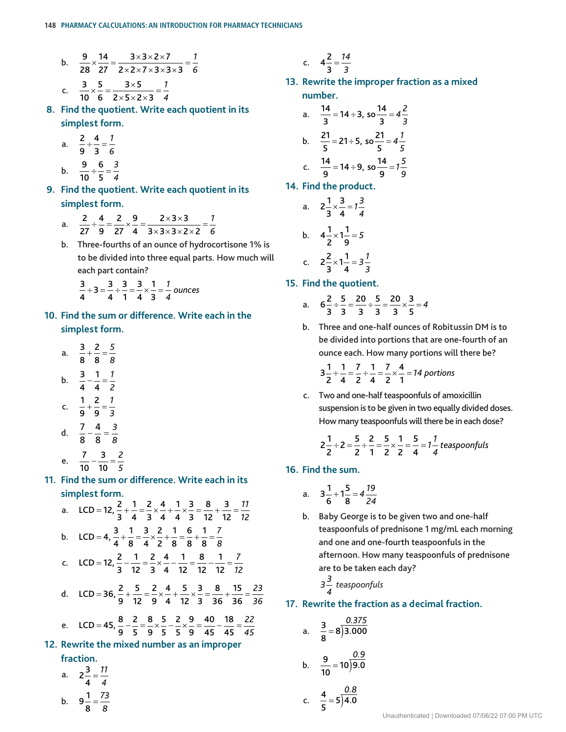b. 
$$
\frac{9}{28} \times \frac{14}{27} = \frac{3 \times 3 \times 2 \times 7}{2 \times 2 \times 7 \times 3 \times 3 \times 3} = \frac{1}{6}
$$
  
c. 
$$
\frac{3}{10} \times \frac{5}{6} = \frac{3 \times 5}{2 \times 5 \times 2 \times 3} = \frac{1}{4}
$$

**8. Find the quotient. Write each quotient in its simplest form.**

a. 
$$
\frac{2}{9} \div \frac{4}{3} = \frac{1}{6}
$$

b.  $\frac{9}{12} \div \frac{6}{7} = \frac{3}{4}$ 

$$
\begin{array}{c}\n0. & \frac{}{10} \div \frac{}{5} - \frac{}{4}\n\end{array}
$$

- **9. Find the quotient. Write each quotient in its simplest form.**
	- a.  $\frac{2}{\sqrt{2}}$   $\div \frac{4}{9} = \frac{2}{27} \times \frac{9}{4} = \frac{2 \times 3 \times 3}{3 \times 3 \times 3 \times 2 \times 2} = \frac{7}{6}$
	- b. Three-fourths of an ounce of hydrocortisone 1% is to be divided into three equal parts. How much will each part contain?

$$
\frac{3}{4} \div 3 = \frac{3}{4} \div \frac{3}{1} = \frac{3}{4} \times \frac{1}{3} = \frac{1}{4}
$$
 ounces

- **10. Find the sum or difference. Write each in the simplest form.**
	- a.  $\frac{3}{5}$   $+\frac{2}{7}=\frac{5}{7}$
	- b.  $\frac{3}{4}$   $-\frac{1}{4} = \frac{1}{4}$

$$
\begin{array}{c}\n4 & 4 & 2 \\
1 & 2 & 1\n\end{array}
$$

c. 9  $+ - =$ 

d. 
$$
\frac{7}{8} - \frac{4}{8} = \frac{3}{8}
$$

e. 
$$
\frac{7}{10} - \frac{3}{10} = \frac{2}{1}
$$

e. 
$$
\frac{7}{10} - \frac{3}{10} = \frac{2}{5}
$$

**11. Find the sum or difference. Write each in its simplest form.**

a. 
$$
LCD = 12, \frac{2}{3} + \frac{1}{4} = \frac{2}{3} \times \frac{4}{4} + \frac{1}{4} \times \frac{3}{3} = \frac{8}{12} + \frac{3}{12} = \frac{11}{12}
$$
  
\nb. 
$$
LCD = 4, \frac{3}{4} + \frac{1}{8} = \frac{3}{4} \times \frac{2}{2} + \frac{1}{8} = \frac{6}{8} + \frac{1}{8} = \frac{7}{8}
$$
  
\nc. 
$$
LCD = 12, \frac{2}{3} - \frac{1}{12} = \frac{2}{3} \times \frac{4}{4} - \frac{1}{12} = \frac{8}{12} - \frac{1}{12} = \frac{7}{12}
$$
  
\nd. 
$$
LCD = 36, \frac{2}{9} + \frac{5}{12} = \frac{2}{9} \times \frac{4}{4} + \frac{5}{12} \times \frac{3}{3} = \frac{8}{36} + \frac{15}{36} = \frac{23}{36}
$$
  
\ne. 
$$
LCD = 45, \frac{8}{9} - \frac{2}{5} = \frac{8}{9} \times \frac{5}{5} - \frac{2}{5} \times \frac{9}{9} = \frac{40}{45} - \frac{18}{45} = \frac{22}{45}
$$
  
\nBsqrtrite the mixed number as an improper

#### **12. Rewrite the mixed number as an improper fraction.**

a. 
$$
2\frac{3}{4} = \frac{11}{4}
$$
  
b.  $9\frac{1}{8} = \frac{73}{8}$ 

c. 
$$
4\frac{2}{3} = \frac{14}{3}
$$

**13. Rewrite the improper fraction as a mixed number.**

a. 
$$
\frac{14}{3} = 14 \div 3
$$
, so  $\frac{14}{3} = 4\frac{2}{3}$   
\nb.  $\frac{21}{5} = 21 \div 5$ , so  $\frac{21}{5} = 4\frac{1}{5}$   
\nc.  $\frac{14}{9} = 14 \div 9$ , so  $\frac{14}{9} = 1\frac{5}{9}$ 

**14. Find the product.**

a. 
$$
2\frac{1}{3} \times \frac{3}{4} = 1\frac{3}{4}
$$
  
\nb.  $4\frac{1}{2} \times 1\frac{1}{9} = 5$   
\nc.  $2\frac{2}{3} \times 1\frac{1}{4} = 3\frac{1}{3}$ 

**15. Find the quotient.**

a. 
$$
6\frac{2}{3} \div \frac{5}{3} = \frac{20}{3} \div \frac{5}{3} = \frac{20}{3} \times \frac{3}{5} = 4
$$

 b. Three and one-half ounces of Robitussin DM is to be divided into portions that are one-fourth of an ounce each. How many portions will there be?

$$
3\frac{1}{2} \div \frac{1}{4} = \frac{7}{2} \div \frac{1}{4} = \frac{7}{2} \times \frac{4}{1} = 14 \text{ portions}
$$

c. Two and one-half teaspoonfuls of amoxicillin suspension is to be given in two equally divided doses. How many teaspoonfuls will there be in each dose?

$$
2\frac{1}{2} \div 2 = \frac{5}{2} \div \frac{2}{1} = \frac{5}{2} \times \frac{1}{2} = \frac{5}{4} = 1\frac{1}{4} \text{ teasponfuls}
$$

#### **16. Find the sum.**

a. 
$$
3\frac{1}{6} + 1\frac{5}{8} = 4\frac{19}{24}
$$

b. Baby George is to be given two and one-half teaspoonfuls of prednisone 1 mg/mL each morning and one and one-fourth teaspoonfuls in the afternoon. How many teaspoonfuls of prednisone are to be taken each day?

$$
3\frac{3}{4} \text{ teasponfuls}
$$

#### **17. Rewrite the fraction as a decimal fraction.**

a. 
$$
\frac{3}{8} = 8 \overline{)3.000}
$$
  
\nb.  $\frac{9}{10} = 10 \overline{)9.0}$   
\nc.  $\frac{4}{5} = 5 \overline{)4.0}$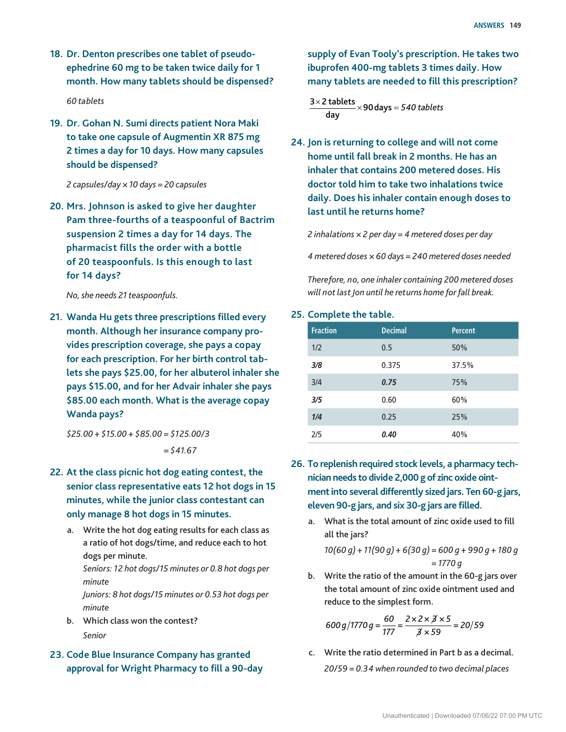- **18. Dr. Denton prescribes one tablet of pseudoephedrine 60 mg to be taken twice daily for 1 month. How many tablets should be dispensed?** *60 tablets*
- **19. Dr. Gohan N. Sumi directs patient Nora Maki to take one capsule of Augmentin XR 875 mg 2 times a day for 10 days. How many capsules should be dispensed?**

*2 capsules/day × 10 days = 20 capsules*

**20. Mrs. Johnson is asked to give her daughter Pam three-fourths of a teaspoonful of Bactrim suspension 2 times a day for 14 days. The pharmacist fills the order with a bottle of 20 teaspoonfuls. Is this enough to last for 14 days?**

*No, she needs 21 teaspoonfuls.*

**21. Wanda Hu gets three prescriptions filled every month. Although her insurance company provides prescription coverage, she pays a copay for each prescription. For her birth control tablets she pays \$25.00, for her albuterol inhaler she pays \$15.00, and for her Advair inhaler she pays \$85.00 each month. What is the average copay Wanda pays?**

*\$25.00 + \$15.00 + \$85.00 = \$125.00/3 = \$41.67*

- **22. At the class picnic hot dog eating contest, the senior class representative eats 12 hot dogs in 15 minutes, while the junior class contestant can only manage 8 hot dogs in 15 minutes.**
	- a. Write the hot dog eating results for each class as a ratio of hot dogs/time, and reduce each to hot dogs per minute.

*Seniors: 12 hot dogs/15 minutes or 0.8 hot dogs per minute*

*Juniors: 8 hot dogs/15 minutes or 0.53 hot dogs per minute*

- b. Which class won the contest? *Senior*
- **23. Code Blue Insurance Company has granted approval for Wright Pharmacy to fill a 90-day**

**supply of Evan Tooly's prescription. He takes two ibuprofen 400-mg tablets 3 times daily. How many tablets are needed to fill this prescription?**

 $\frac{3\times2\textrm{ tablets}}{2\times90\textrm{days}}$  = 540 tablets day

**24. Jon is returning to college and will not come home until fall break in 2 months. He has an inhaler that contains 200 metered doses. His doctor told him to take two inhalations twice daily. Does his inhaler contain enough doses to last until he returns home?**

*2 inhalations × 2 per day = 4 metered doses per day*

*4 metered doses × 60 days = 240 metered doses needed*

*Therefore, no, one inhaler containing 200 metered doses will not last Jon until he returns home for fall break.*

#### **25. Complete the table.**

| <b>Fraction</b> | <b>Decimal</b> | <b>Percent</b> |
|-----------------|----------------|----------------|
| 1/2             | 0.5            | 50%            |
| 3/8             | 0.375          | 37.5%          |
| 3/4             | 0.75           | 75%            |
| 3/5             | 0.60           | 60%            |
| 1/4             | 0.25           | 25%            |
| 2/5             | 0.40           | 40%            |

- **26. To replenish required stock levels, a pharmacy technician needs to divide 2,000 g of zinc oxide ointment into several differently sized jars. Ten 60-g jars, eleven 90-g jars, and six 30-g jars are filled.**
	- a. What is the total amount of zinc oxide used to fill all the jars?

*10(60 g) + 11(90 g) + 6(30 g) = 600 g + 990 g + 180 g = 1770 g*

b. Write the ratio of the amount in the 60-g jars over the total amount of zinc oxide ointment used and reduce to the simplest form.

$$
600 g / 1770 g = \frac{60}{177} = \frac{2 \times 2 \times \cancel{3} \times 5}{\cancel{3} \times 59} = 20/59
$$

c. Write the ratio determined in Part b as a decimal. *20/59 = 0.34 when rounded to two decimal places*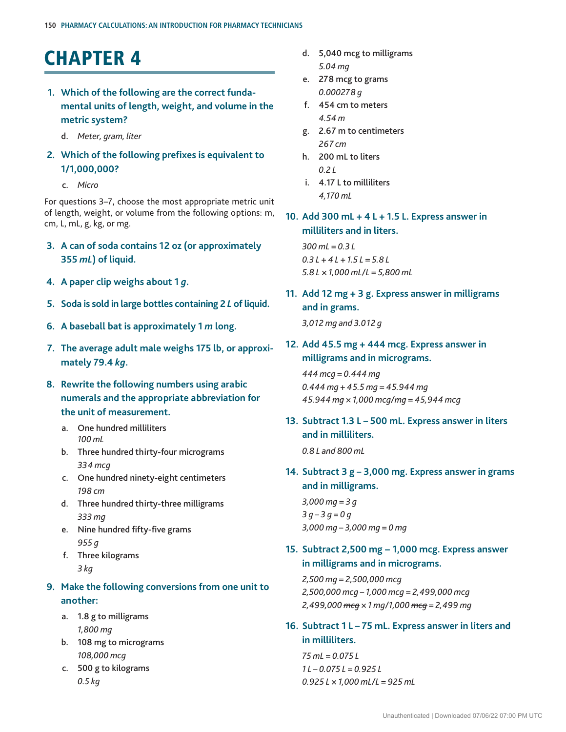## **CHAPTER 4**

- **1. Which of the following are the correct fundamental units of length, weight, and volume in the metric system?**
	- d. *Meter, gram, liter*
- **2. Which of the following prefixes is equivalent to 1/1,000,000?**
	- c. *Micro*

For questions 3–7, choose the most appropriate metric unit of length, weight, or volume from the following options: m, cm, L, mL, g, kg, or mg.

- **3. A can of soda contains 12 oz (or approximately 355** *mL***) of liquid.**
- **4. A paper clip weighs about 1** *g***.**
- **5. Soda is sold in large bottles containing 2** *L* **of liquid.**
- **6. A baseball bat is approximately 1** *m* **long.**
- **7. The average adult male weighs 175 lb, or approximately 79.4** *kg***.**
- **8. Rewrite the following numbers using arabic numerals and the appropriate abbreviation for the unit of measurement.**
	- a. One hundred milliliters *100 mL*
	- b. Three hundred thirty-four micrograms *334 mcg*
	- c. One hundred ninety-eight centimeters *198 cm*
	- d. Three hundred thirty-three milligrams *333 mg*
	- e. Nine hundred fifty-five grams *955 g*
	- f. Three kilograms *3 kg*

### **9. Make the following conversions from one unit to another:**

- a. 1.8 g to milligrams *1,800 mg*
- b. 108 mg to micrograms *108,000 mcg*
- c. 500 g to kilograms *0.5 kg*
- d. 5,040 mcg to milligrams *5.04 mg*
- e. 278 mcg to grams *0.000278 g*
- f. 454 cm to meters *4.54 m*
- g. 2.67 m to centimeters *267 cm*
- h. 200 mL to liters *0.2 L*
- i. 4.17 L to milliliters *4,170 mL*

### **10. Add 300 mL + 4 L + 1.5 L. Express answer in milliliters and in liters.**

*300 mL = 0.3 L 0.3 L + 4 L + 1.5 L = 5.8 L 5.8 L × 1,000 mL/L = 5,800 mL*

- **11. Add 12 mg + 3 g. Express answer in milligrams and in grams.** *3,012 mg and 3.012 g*
- **12. Add 45.5 mg + 444 mcg. Express answer in milligrams and in micrograms.**

*444 mcg = 0.444 mg 0.444 mg + 45.5 mg = 45.944 mg 45.944 mg × 1,000 mcg/mg = 45,944 mcg*

**13. Subtract 1.3 L – 500 mL. Express answer in liters and in milliliters.**

*0.8 L and 800 mL*

**14. Subtract 3 g – 3,000 mg. Express answer in grams and in milligrams.**

*3,000 mg = 3 g 3 g – 3 g = 0 g 3,000 mg – 3,000 mg = 0 mg*

**15. Subtract 2,500 mg − 1,000 mcg. Express answer in milligrams and in micrograms.**

*2,500 mg = 2,500,000 mcg 2,500,000 mcg – 1,000 mcg = 2,499,000 mcg 2,499,000 mcg × 1 mg/1,000 mcg = 2,499 mg*

**16. Subtract 1 L – 75 mL. Express answer in liters and in milliliters.**

*75 mL = 0.075 L 1 L – 0.075 L = 0.925 L 0.925 L × 1,000 mL/L = 925 mL*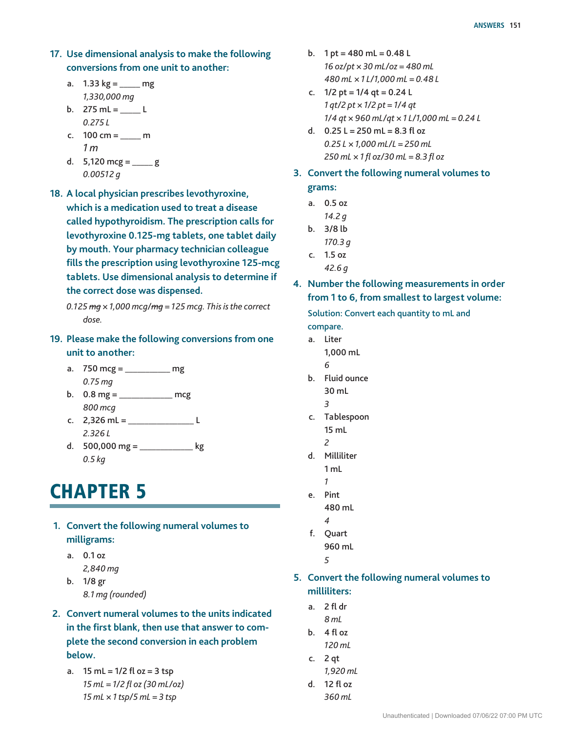- **17. Use dimensional analysis to make the following conversions from one unit to another:**
	- a.  $1.33 \text{ kg} =$  mg *1,330,000 mg*
	- b.  $275$  mL = \_\_\_\_\_ L *0.275 L*
	- c.  $100 \text{ cm} =$  \_\_\_\_\_\_\_ m *1 m*
	- d.  $5,120$  mcg = \_\_\_\_\_ g *0.00512 g*
- **18. A local physician prescribes levothyroxine, which is a medication used to treat a disease called hypothyroidism. The prescription calls for levothyroxine 0.125-mg tablets, one tablet daily by mouth. Your pharmacy technician colleague fills the prescription using levothyroxine 125-mcg tablets. Use dimensional analysis to determine if the correct dose was dispensed.**

- **19. Please make the following conversions from one unit to another:**
	- a. 750 mcg = \_\_\_\_\_\_\_\_\_\_\_ mg *0.75 mg*
	- b. 0.8 mg = \_\_\_\_\_\_\_\_\_\_\_\_\_ mcg *800 mcg*
	- c. 2,326 mL = \_\_\_\_\_\_\_\_\_\_\_\_\_\_\_\_ L *2.326 L*
	- d.  $500,000 \text{ mg} =$  \_\_\_\_\_\_\_\_\_\_\_\_\_\_\_\_\_\_ kg *0.5 kg*

## **CHAPTER 5**

- **1. Convert the following numeral volumes to milligrams:**
	- a. 0.1 oz  *2,840 mg*
	- b. 1/8 gr  *8.1 mg (rounded)*
- **2. Convert numeral volumes to the units indicated in the first blank, then use that answer to complete the second conversion in each problem below.**
	- a.  $15 \text{ mL} = 1/2 \text{ fl oz} = 3 \text{ tsp}$  *15 mL = 1/2 fl oz (30 mL/oz) 15 mL × 1 tsp/5 mL = 3 tsp*
- b.  $1 pt = 480 ml = 0.48 L$  *16 oz/pt × 30 mL/oz = 480 mL 480 mL × 1 L/1,000 mL = 0.48 L*
- c.  $1/2$  pt =  $1/4$  qt = 0.24 L *1 qt/2 pt × 1/2 pt = 1/4 qt 1/4 qt × 960 mL/qt × 1 L/1,000 mL = 0.24 L*
- d.  $0.25$  L = 250 mL = 8.3 fl oz *0.25 L × 1,000 mL/L = 250 mL 250 mL × 1 fl oz/30 mL = 8.3 fl oz*
- **3. Convert the following numeral volumes to grams:**
	- a. 0.5 oz
		- *14.2 g*
	- b. 3/8 lb
	- *170.3 g* c. 1.5 oz
		- *42.6 g*
- **4. Number the following measurements in order from 1 to 6, from smallest to largest volume:**

Solution: Convert each quantity to mL and compare.

- a. Liter 1,000 mL
- *6*
	- b. Fluid ounce 30 mL
		- *3*
	- c. Tablespoon 15 mL
		- *2*
	- d. Milliliter
		- 1 mL
- *1* e. Pint 480 mL
- *4*
	- f. Quart 960 mL *5*
- **5. Convert the following numeral volumes to milliliters:**
	- a. 2 fl dr  *8 mL*
	- b.  $4$  fl oz  *120 mL*
	- c. 2 qt  *1,920 mL*
	- d. 12 fl oz
	- *360 mL*

*<sup>0.125</sup> mg × 1,000 mcg/mg = 125 mcg. This is the correct dose.*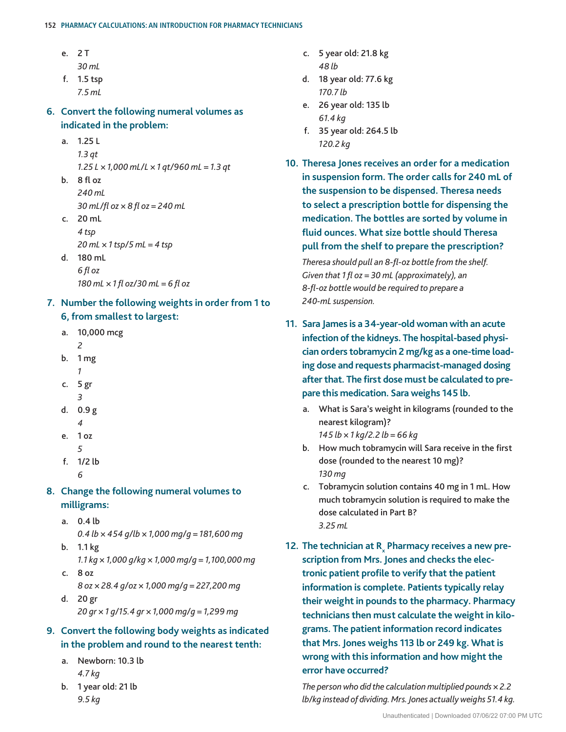#### **152 Pharmacy Calculations: An Introduction for Pharmacy Technicians**

- e. 2 T
	- *30 mL*
- f. 1.5 tsp
	- *7.5 mL*

**6. Convert the following numeral volumes as indicated in the problem:**

- a. 1.25 L  *1.3 qt 1.25 L × 1,000 mL/L × 1 qt/960 mL = 1.3 qt*
- b. 8 fl oz  *240 mL 30 mL/fl oz × 8 fl oz = 240 mL*
- c. 20 mL  *4 tsp 20 mL × 1 tsp/5 mL = 4 tsp* d. 180 mL
- *6 fl oz 180 mL × 1 fl oz/30 mL = 6 fl oz*
- **7. Number the following weights in order from 1 to 6, from smallest to largest:**
	- a. 10,000 mcg
	- *2*
	- b. 1 mg
- *1* c. 5 gr
	- *3*
	- d. 0.9 g  *4*
	- e. 1 oz  *5*
	- f. 1/2 lb *6*

## **8. Change the following numeral volumes to milligrams:**

- a. 0.4 lb
- *0.4 lb × 454 g/lb × 1,000 mg/g = 181,600 mg* b. 1.1 kg
	- *1.1 kg × 1,000 g/kg × 1,000 mg/g = 1,100,000 mg*
- c. 8 oz  *8 oz × 28.4 g/oz × 1,000 mg/g = 227,200 mg*
- d. 20 gr  *20 gr × 1 g/15.4 gr × 1,000 mg/g = 1,299 mg*

## **9. Convert the following body weights as indicated in the problem and round to the nearest tenth:**

- a. Newborn: 10.3 lb  *4.7 kg*
- b. 1 year old: 21 lb  *9.5 kg*
- c. 5 year old: 21.8 kg  *48 lb*
- d. 18 year old: 77.6 kg  *170.7 lb*
- e. 26 year old: 135 lb  *61.4 kg*
- f. 35 year old: 264.5 lb  *120.2 kg*
- **10. Theresa Jones receives an order for a medication in suspension form. The order calls for 240 mL of the suspension to be dispensed. Theresa needs to select a prescription bottle for dispensing the medication. The bottles are sorted by volume in fluid ounces. What size bottle should Theresa pull from the shelf to prepare the prescription?**

*Theresa should pull an 8-fl-oz bottle from the shelf. Given that 1 fl oz = 30 mL (approximately), an 8-fl-oz bottle would be required to prepare a 240-mL suspension.*

- **11. Sara James is a 34-year-old woman with an acute infection of the kidneys. The hospital-based physician orders tobramycin 2 mg/kg as a one-time loading dose and requests pharmacist-managed dosing after that. The first dose must be calculated to prepare this medication. Sara weighs 145 lb.**
	- a. What is Sara's weight in kilograms (rounded to the nearest kilogram)?
		- *145 lb × 1 kg/2.2 lb = 66 kg*
	- b. How much tobramycin will Sara receive in the first dose (rounded to the nearest 10 mg)?  *130 mg*
	- c. Tobramycin solution contains 40 mg in 1 mL. How much tobramycin solution is required to make the dose calculated in Part B?  *3.25 mL*
- 12. The technician at R<sub>x</sub> Pharmacy receives a new pre**scription from Mrs. Jones and checks the electronic patient profile to verify that the patient information is complete. Patients typically relay their weight in pounds to the pharmacy. Pharmacy technicians then must calculate the weight in kilograms. The patient information record indicates that Mrs. Jones weighs 113 lb or 249 kg. What is wrong with this information and how might the error have occurred?**

 *The person who did the calculation multiplied pounds × 2.2 lb/kg instead of dividing. Mrs. Jones actually weighs 51.4 kg.*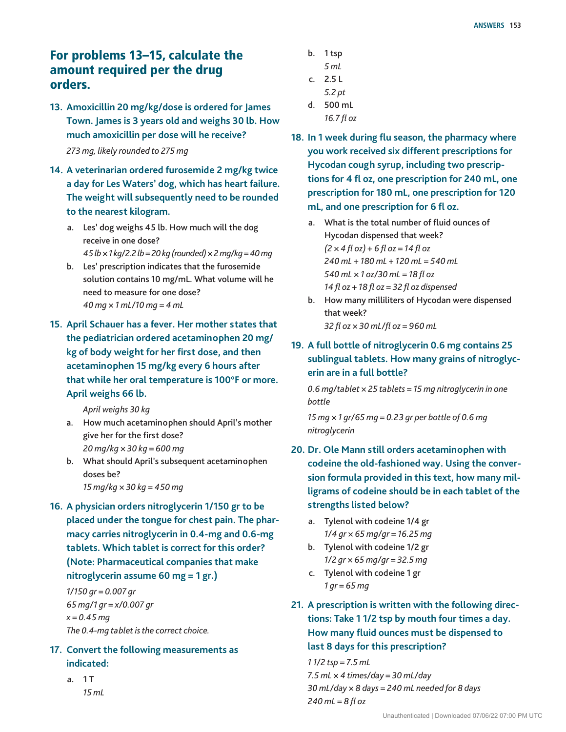## For problems 13–15, calculate the amount required per the drug orders.

- **13. Amoxicillin 20 mg/kg/dose is ordered for James Town. James is 3 years old and weighs 30 lb. How much amoxicillin per dose will he receive?**  *273 mg, likely rounded to 275 mg*
- **14. A veterinarian ordered furosemide 2 mg/kg twice a day for Les Waters' dog, which has heart failure. The weight will subsequently need to be rounded to the nearest kilogram.**
	- a. Les' dog weighs 45 lb. How much will the dog receive in one dose?  *45 lb × 1 kg/2.2 lb = 20 kg (rounded) × 2 mg/kg = 40 mg*
	- b. Les' prescription indicates that the furosemide solution contains 10 mg/mL. What volume will he need to measure for one dose?  *40 mg × 1 mL/10 mg = 4 mL*
- **15. April Schauer has a fever. Her mother states that the pediatrician ordered acetaminophen 20 mg/ kg of body weight for her first dose, and then acetaminophen 15 mg/kg every 6 hours after that while her oral temperature is 100°F or more. April weighs 66 lb.**

 *April weighs 30 kg*

- a. How much acetaminophen should April's mother give her for the first dose?  *20 mg/kg × 30 kg = 600 mg*
- b. What should April's subsequent acetaminophen doses be?  *15 mg/kg × 30 kg = 450 mg*
- **16. A physician orders nitroglycerin 1/150 gr to be placed under the tongue for chest pain. The pharmacy carries nitroglycerin in 0.4-mg and 0.6-mg tablets. Which tablet is correct for this order? (Note: Pharmaceutical companies that make nitroglycerin assume 60 mg = 1 gr.)**

*1/150 gr = 0.007 gr 65 mg/1 gr = x/0.007 gr x = 0.45 mg The 0.4-mg tablet is the correct choice.*

- **17. Convert the following measurements as indicated:**
	- a. 1 T  *15 mL*
- b. 1 tsp
	- *5 mL*
- c. 2.5 L  *5.2 pt*
- d. 500 mL
- *16.7 fl oz*
- **18. In 1 week during flu season, the pharmacy where you work received six different prescriptions for Hycodan cough syrup, including two prescriptions for 4 fl oz, one prescription for 240 mL, one prescription for 180 mL, one prescription for 120 mL, and one prescription for 6 fl oz.**
	- a. What is the total number of fluid ounces of Hycodan dispensed that week? *(2 × 4 fl oz) + 6 fl oz = 14 fl oz 240 mL + 180 mL + 120 mL = 540 mL 540 mL × 1 oz/30 mL = 18 fl oz 14 fl oz + 18 fl oz = 32 fl oz dispensed*
	- b. How many milliliters of Hycodan were dispensed that week? *32 fl oz × 30 mL/fl oz = 960 mL*
- **19. A full bottle of nitroglycerin 0.6 mg contains 25 sublingual tablets. How many grains of nitroglycerin are in a full bottle?**

 *0.6 mg/tablet × 25 tablets = 15 mg nitroglycerin in one bottle*

 *15 mg × 1 gr/65 mg = 0.23 gr per bottle of 0.6 mg nitroglycerin*

- **20. Dr. Ole Mann still orders acetaminophen with codeine the old-fashioned way. Using the conversion formula provided in this text, how many milligrams of codeine should be in each tablet of the strengths listed below?**
	- a. Tylenol with codeine 1/4 gr  *1/4 gr × 65 mg/gr = 16.25 mg*
	- b. Tylenol with codeine 1/2 gr  *1/2 gr × 65 mg/gr = 32.5 mg*
	- c. Tylenol with codeine 1 gr  *1 gr = 65 mg*
- **21. A prescription is written with the following directions: Take 1 1/2 tsp by mouth four times a day. How many fluid ounces must be dispensed to last 8 days for this prescription?**

*1 1/2 tsp = 7.5 mL 7.5 mL × 4 times/day = 30 mL/day 30 mL/day × 8 days = 240 mL needed for 8 days 240 mL = 8 fl oz*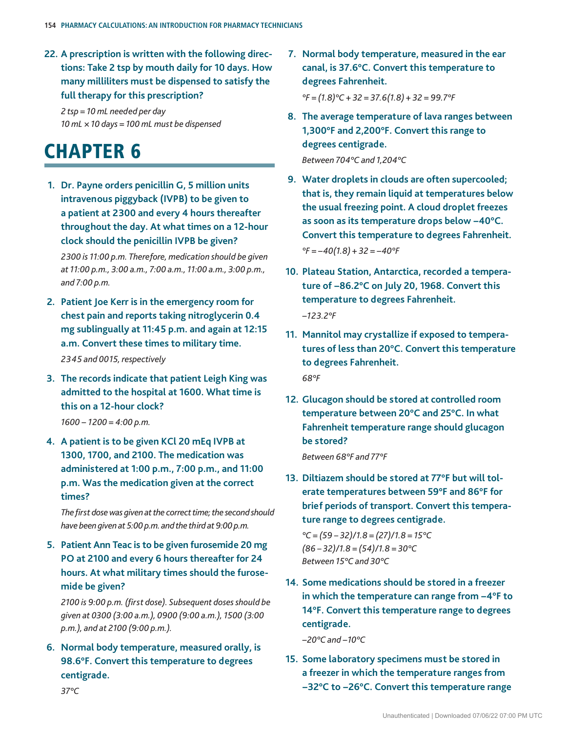**22. A prescription is written with the following directions: Take 2 tsp by mouth daily for 10 days. How many milliliters must be dispensed to satisfy the full therapy for this prescription?**

*2 tsp = 10 mL needed per day 10 mL × 10 days = 100 mL must be dispensed*

## **CHAPTER 6**

**1. Dr. Payne orders penicillin G, 5 million units intravenous piggyback (IVPB) to be given to a patient at 2300 and every 4 hours thereafter throughout the day. At what times on a 12-hour clock should the penicillin IVPB be given?**

 *2300 is 11:00 p.m. Therefore, medication should be given at 11:00 p.m., 3:00 a.m., 7:00 a.m., 11:00 a.m., 3:00 p.m., and 7:00 p.m.*

**2. Patient Joe Kerr is in the emergency room for chest pain and reports taking nitroglycerin 0.4 mg sublingually at 11:45 p.m. and again at 12:15 a.m. Convert these times to military time.**  *2345 and 0015, respectively*

**3. The records indicate that patient Leigh King was** 

**admitted to the hospital at 1600. What time is this on a 12-hour clock?** *1600 − 1200 = 4:00 p.m.*

**4. A patient is to be given KCl 20 mEq IVPB at 1300, 1700, and 2100. The medication was administered at 1:00 p.m., 7:00 p.m., and 11:00 p.m. Was the medication given at the correct times?**

*The first dose was given at the correct time; the second should have been given at 5:00 p.m. and the third at 9:00 p.m.*

**5. Patient Ann Teac is to be given furosemide 20 mg PO at 2100 and every 6 hours thereafter for 24 hours. At what military times should the furosemide be given?**

*2100 is 9:00 p.m. (first dose). Subsequent doses should be given at 0300 (3:00 a.m.), 0900 (9:00 a.m.), 1500 (3:00 p.m.), and at 2100 (9:00 p.m.).*

**6. Normal body temperature, measured orally, is 98.6°F. Convert this temperature to degrees centigrade.**

**7. Normal body temperature, measured in the ear canal, is 37.6°C. Convert this temperature to degrees Fahrenheit.**

 *°F = (1.8)°C + 32 = 37.6(1.8) + 32 = 99.7°F*

**8. The average temperature of lava ranges between 1,300°F and 2,200°F. Convert this range to degrees centigrade.**

 *Between 704°C and 1,204°C*

- **9. Water droplets in clouds are often supercooled; that is, they remain liquid at temperatures below the usual freezing point. A cloud droplet freezes as soon as its temperature drops below −40°C. Convert this temperature to degrees Fahrenheit.** *°F = −40(1.8) + 32 = −40°F*
- **10. Plateau Station, Antarctica, recorded a temperature of −86.2°C on July 20, 1968. Convert this temperature to degrees Fahrenheit.** *−123.2°F*
- **11. Mannitol may crystallize if exposed to temperatures of less than 20°C. Convert this temperature to degrees Fahrenheit.** *68°F*
- **12. Glucagon should be stored at controlled room temperature between 20°C and 25°C. In what Fahrenheit temperature range should glucagon be stored?**

 *Between 68°F and 77°F*

**13. Diltiazem should be stored at 77°F but will tolerate temperatures between 59°F and 86°F for brief periods of transport. Convert this temperature range to degrees centigrade.**

 *°C = (59 – 32)/1.8 = (27)/1.8 = 15°C (86 – 32)/1.8 = (54)/1.8 = 30°C Between 15°C and 30°C*

**14. Some medications should be stored in a freezer in which the temperature can range from −4°F to 14°F. Convert this temperature range to degrees centigrade.**

*−20°C and −10°C*

**15. Some laboratory specimens must be stored in a freezer in which the temperature ranges from −32°C to −26°C. Convert this temperature range** 

Unauthenticated | Downloaded 07/06/22 07:00 PM UTC

 *37°C*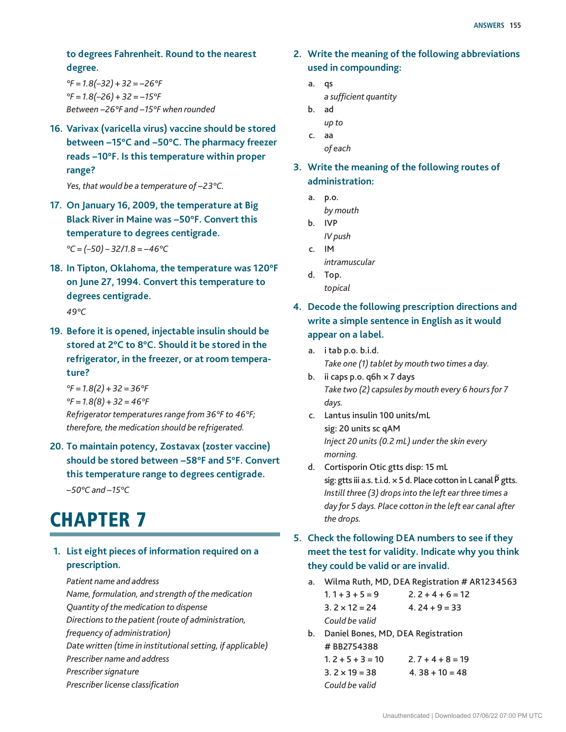#### **to degrees Fahrenheit. Round to the nearest degree.**

*°F = 1.8(–32) + 32 = −26°F °F = 1.8(–26) + 32 = −15°F Between −26°F and −15°F when rounded*

**16. Varivax (varicella virus) vaccine should be stored between −15°C and −50°C. The pharmacy freezer reads −10°F. Is this temperature within proper range?**

*Yes, that would be a temperature of −23°C.*

**17. On January 16, 2009, the temperature at Big Black River in Maine was −50°F. Convert this temperature to degrees centigrade.**

*°C = (–50) – 32/1.8 = −46°C*

- **18. In Tipton, Oklahoma, the temperature was 120°F on June 27, 1994. Convert this temperature to degrees centigrade.**  *49°C*
- **19. Before it is opened, injectable insulin should be stored at 2°C to 8°C. Should it be stored in the refrigerator, in the freezer, or at room temperature?**

 *°F = 1.8(2) + 32 = 36°F °F = 1.8(8) + 32 = 46°F Refrigerator temperatures range from 36°F to 46°F; therefore, the medication should be refrigerated.*

**20. To maintain potency, Zostavax (zoster vaccine) should be stored between −58°F and 5°F. Convert this temperature range to degrees centigrade.**

*−50°C and −15°C*

## **CHAPTER 7**

### **1. List eight pieces of information required on a prescription.**

 *Patient name and address*

 *Name, formulation, and strength of the medication Quantity of the medication to dispense Directions to the patient (route of administration, frequency of administration) Date written (time in institutional setting, if applicable) Prescriber name and address Prescriber signature Prescriber license classification*

- **2. Write the meaning of the following abbreviations used in compounding:**
	- a. qs *a sufficient quantity*
	- b. ad  *up to*
	- c. aa  *of each*

**3. Write the meaning of the following routes of administration:**

- a. p.o.  *by mouth*
- b. IVP  *IV push*
- c. IM  *intramuscular*
- d. Top.  *topical*

## **4. Decode the following prescription directions and write a simple sentence in English as it would appear on a label.**

- a. i tab p.o. b.i.d.  *Take one (1) tablet by mouth two times a day.*
- b. ii caps p.o.  $q6h \times 7$  days  *Take two (2) capsules by mouth every 6 hours for 7 days.*
- c. Lantus insulin 100 units/mL sig: 20 units sc qAM  *Inject 20 units (0.2 mL) under the skin every morning.*
- d. Cortisporin Otic gtts disp: 15 mL sig: gtts iii a.s. t.i.d.  $\times$  5 d. Place cotton in L canal  $\overline{P}$  gtts.  *Instill three (3) drops into the left ear three times a day for 5 days. Place cotton in the left ear canal after the drops.*

## **5. Check the following DEA numbers to see if they meet the test for validity. Indicate why you think they could be valid or are invalid.**

- a. Wilma Ruth, MD, DEA Registration # AR1234563  $1.1 + 3 + 5 = 9$  2.  $2 + 4 + 6 = 12$  $3. 2 \times 12 = 24$   $4. 24 + 9 = 33$  *Could be valid*
- b. Daniel Bones, MD, DEA Registration # BB2754388  $1.2 + 5 + 3 = 10$   $2.7 + 4 + 8 = 19$

 $3.2 \times 19 = 38$   $4.38 + 10 = 48$  *Could be valid*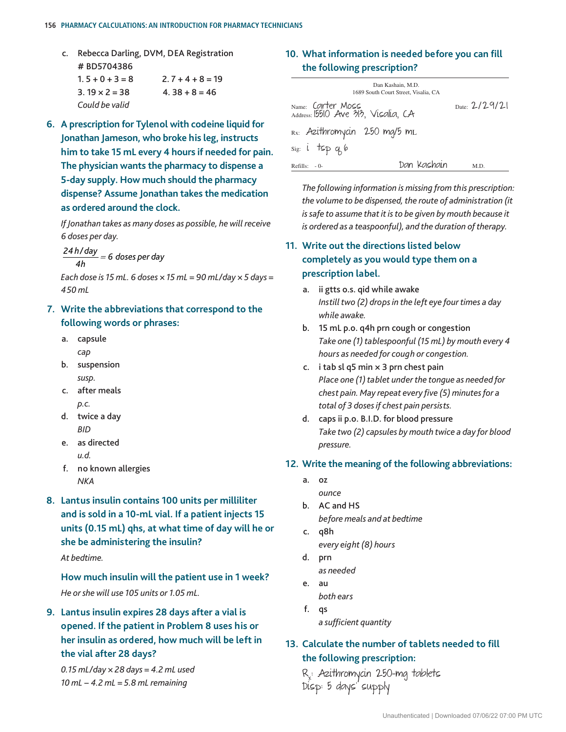#### **156 Pharmacy Calculations: An Introduction for Pharmacy Technicians**

- c. Rebecca Darling, DVM, DEA Registration # BD5704386  $1.5 + 0 + 3 = 8$   $2.7 + 4 + 8 = 19$ 
	- $3.19 \times 2 = 38$   $4.38 + 8 = 46$  *Could be valid*
- **6. A prescription for Tylenol with codeine liquid for Jonathan Jameson, who broke his leg, instructs him to take 15 mL every 4 hours if needed for pain. The physician wants the pharmacy to dispense a 5-day supply. How much should the pharmacy dispense? Assume Jonathan takes the medication as ordered around the clock.**

 *If Jonathan takes as many doses as possible, he will receive 6 doses per day.*

*24 h/ day 4h* <sup>=</sup> *6 doses per day*

 *Each dose is 15 mL. 6 doses × 15 mL = 90 mL/day × 5 days = 450 mL*

## **7. Write the abbreviations that correspond to the following words or phrases:**

- a. capsule *cap*
- b. suspension  *susp.*
- c. after meals *p.c.*
- d. twice a day *BID*
- e. as directed  *u.d.*
- f. no known allergies  *NKA*
- **8. Lantus insulin contains 100 units per milliliter and is sold in a 10-mL vial. If a patient injects 15 units (0.15 mL) qhs, at what time of day will he or she be administering the insulin?**

 *At bedtime.*

 **How much insulin will the patient use in 1 week?**  *He or she will use 105 units or 1.05 mL.*

## **9. Lantus insulin expires 28 days after a vial is opened. If the patient in Problem 8 uses his or her insulin as ordered, how much will be left in the vial after 28 days?**

 *0.15 mL/day × 28 days = 4.2 mL used 10 mL − 4.2 mL = 5.8 mL remaining*

## **10. What information is needed before you can fill the following prescription?**

| Dan Kashain, M.D.<br>1689 South Court Street, Visalia, CA |                |
|-----------------------------------------------------------|----------------|
| Name: Carter Moss<br>Address: 15510 Ave 313, Visalia, CA  | Date: $2/29/2$ |
| Rx: Azithromycin 250 mg/5 mL                              |                |
| $sig: i$ tsp q 6                                          |                |
| Dan Kashain<br>$Refills: -0-$                             | M.D.           |

 *The following information is missing from this prescription: the volume to be dispensed, the route of administration (it is safe to assume that it is to be given by mouth because it is ordered as a teaspoonful), and the duration of therapy.*

## **11. Write out the directions listed below completely as you would type them on a prescription label.**

- a. ii gtts o.s. qid while awake  *Instill two (2) drops in the left eye four times a day while awake.*
- b. 15 mL p.o. q4h prn cough or congestion  *Take one (1) tablespoonful (15 mL) by mouth every 4 hours as needed for cough or congestion.*
- c. i tab sl q5 min  $\times$  3 prn chest pain  *Place one (1) tablet under the tongue as needed for chest pain. May repeat every five (5) minutes for a total of 3 doses if chest pain persists.*
- d. caps ii p.o. B.I.D. for blood pressure  *Take two (2) capsules by mouth twice a day for blood pressure.*

#### **12. Write the meaning of the following abbreviations:**

- a. oz  *ounce*
- b. AC and HS  *before meals and at bedtime*
- c. q8h  *every eight (8) hours* d. prn
	- *as needed*
- e. au  *both ears*
- f. qs *a sufficient quantity*

## **13. Calculate the number of tablets needed to fill the following prescription:**

 Rx : Azithromycin 250-mg tablets Disp: 5 days' supply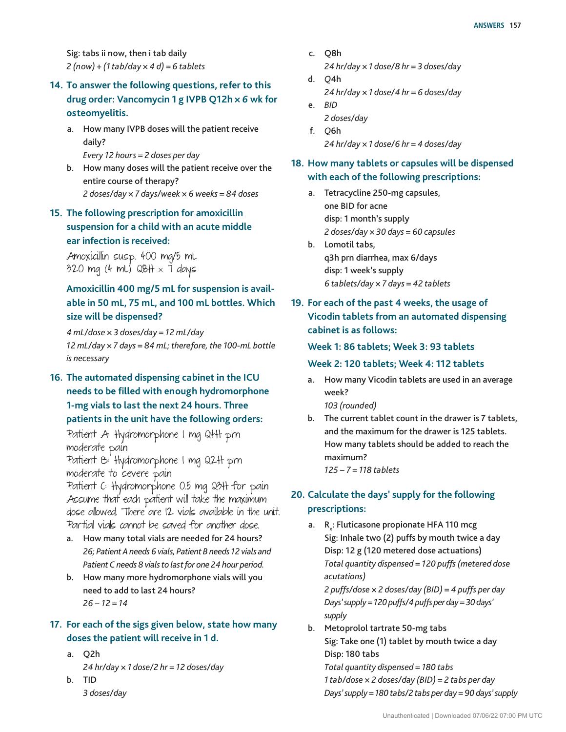Sig: tabs ii now, then i tab daily *2 (now) + (1 tab/day × 4 d) = 6 tablets*

## **14. To answer the following questions, refer to this drug order: Vancomycin 1 g IVPB Q12h** *× 6* **wk for osteomyelitis.**

- a. How many IVPB doses will the patient receive daily?
	- *Every 12 hours = 2 doses per day*
- b. How many doses will the patient receive over the entire course of therapy?  *2 doses/day × 7 days/week × 6 weeks = 84 doses*

## **15. The following prescription for amoxicillin suspension for a child with an acute middle ear infection is received:**

 Amoxicillin susp. 400 mg/5 mL  $320$  mg (4 mL) QBH  $\times$  7 days

## **Amoxicillin 400 mg/5 mL for suspension is available in 50 mL, 75 mL, and 100 mL bottles. Which size will be dispensed?**

 *4 mL/dose × 3 doses/day = 12 mL/day 12 mL/day × 7 days = 84 mL; therefore, the 100-mL bottle is necessary*

**16. The automated dispensing cabinet in the ICU needs to be filled with enough hydromorphone 1-mg vials to last the next 24 hours. Three patients in the unit have the following orders:**

 Patient A: Hydromorphone 1 mg Q4H prn moderate pain

 Patient B: Hydromorphone 1 mg Q2H prn moderate to severe pain

 Patient C: Hydromorphone 0.5 mg Q3H for pain Assume that each patient will take the maximum dose allowed. There are 12 vials available in the unit. Par tial vials cannot be saved for another dose.

- a. How many total vials are needed for 24 hours? *26; Patient A needs 6 vials, Patient B needs 12 vials and Patient C needs 8 vials to last for one 24 hour period.*
- b. How many more hydromorphone vials will you need to add to last 24 hours? *26 − 12 = 14*

## **17. For each of the sigs given below, state how many doses the patient will receive in 1 d.**

- a. Q2h  *24 hr/day × 1 dose/2 hr = 12 doses/day* b. TID
	- *3 doses/day*
- c. Q8h  *24 hr/day × 1 dose/8 hr = 3 doses/day*
- d. *Q*4h  *24 hr/day × 1 dose/4 hr = 6 doses/day*
- e. *BID 2 doses/day*
- f. *Q*6h  *24 hr/day × 1 dose/6 hr = 4 doses/day*
- **18. How many tablets or capsules will be dispensed with each of the following prescriptions:**
	- a. Tetracycline 250-mg capsules, one BID for acne disp: 1 month's supply  *2 doses/day × 30 days = 60 capsules*
	- b. Lomotil tabs, q3h prn diarrhea, max 6/days disp: 1 week's supply  *6 tablets/day × 7 days = 42 tablets*
- **19. For each of the past 4 weeks, the usage of Vicodin tablets from an automated dispensing cabinet is as follows:**

#### **Week 1: 86 tablets; Week 3: 93 tablets**

#### **Week 2: 120 tablets; Week 4: 112 tablets**

a. How many Vicodin tablets are used in an average week?

 *103 (rounded)*

b. The current tablet count in the drawer is 7 tablets, and the maximum for the drawer is 125 tablets. How many tablets should be added to reach the maximum? *125 − 7 = 118 tablets*

## **20. Calculate the days' supply for the following prescriptions:**

a.  $R_{x}$ : Fluticasone propionate HFA 110 mcg Sig: Inhale two (2) puffs by mouth twice a day Disp: 12 g (120 metered dose actuations)  *Total quantity dispensed = 120 puffs (metered dose acutations) 2 puffs/dose × 2 doses/day (BID) = 4 puffs per day*

 *Days' supply = 120 puffs/4 puffs per day = 30 days' supply*

b. Metoprolol tartrate 50-mg tabs Sig: Take one (1) tablet by mouth twice a day Disp: 180 tabs  *Total quantity dispensed = 180 tabs 1 tab/dose × 2 doses/day (BID) = 2 tabs per day Days' supply = 180 tabs/2 tabs per day = 90 days' supply*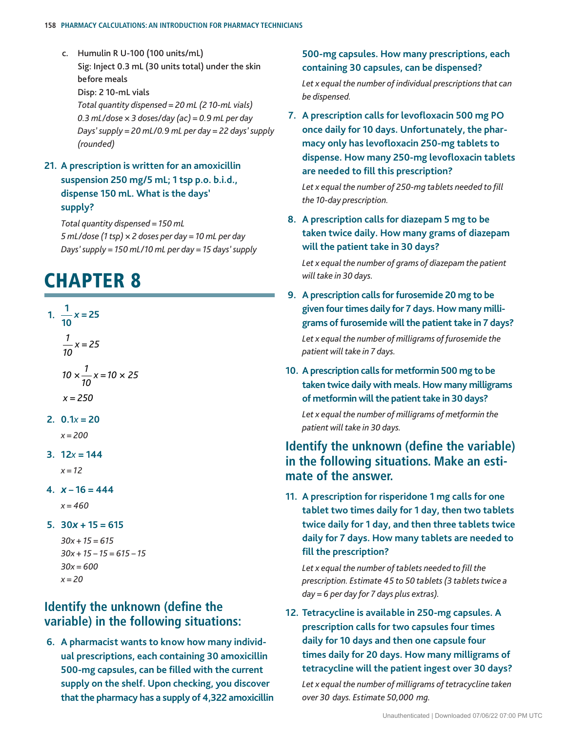#### **158 Pharmacy Calculations: An Introduction for Pharmacy Technicians**

- c. Humulin R U-100 (100 units/mL) Sig: Inject 0.3 mL (30 units total) under the skin before meals Disp: 2 10-mL vials  *Total quantity dispensed = 20 mL (2 10-mL vials) 0.3 mL/dose × 3 doses/day (ac) = 0.9 mL per day Days' supply = 20 mL/0.9 mL per day = 22 days' supply (rounded)*
- **21. A prescription is written for an amoxicillin suspension 250 mg/5 mL; 1 tsp p.o. b.i.d., dispense 150 mL. What is the days' supply?**

 *Total quantity dispensed = 150 mL 5 mL/dose (1 tsp) × 2 doses per day = 10 mL per day Days' supply = 150 mL/10 mL per day = 15 days' supply*

## **CHAPTER 8**

**1.**  $\frac{1}{11}$ **10** *x* **= 25** *1 10 x = 25*  $10 \times \frac{1}{10}$ *10 x =10 × 25* *x = 250*  $2. 0.1x = 20$  *x = 200* **3. 12***x* **= 144**  *x = 12* **4.** *x* **– 16 = 444**  *x = 460* **5. 30***x* **+ 15 = 615**  *30x + 15 = 615 30x + 15 – 15 = 615 – 15 30x = 600 x = 20*

## **Identify the unknown (define the variable) in the following situations:**

**6. A pharmacist wants to know how many individual prescriptions, each containing 30 amoxicillin 500-mg capsules, can be filled with the current supply on the shelf. Upon checking, you discover that the pharmacy has a supply of 4,322 amoxicillin** 

### **500-mg capsules. How many prescriptions, each containing 30 capsules, can be dispensed?**

 *Let x equal the number of individual prescriptions that can be dispensed.*

**7. A prescription calls for levofloxacin 500 mg PO once daily for 10 days. Unfortunately, the pharmacy only has levofloxacin 250-mg tablets to dispense. How many 250-mg levofloxacin tablets are needed to fill this prescription?**

*Let x equal the number of 250-mg tablets needed to fill the 10-day prescription.*

**8. A prescription calls for diazepam 5 mg to be taken twice daily. How many grams of diazepam will the patient take in 30 days?**

 *Let x equal the number of grams of diazepam the patient will take in 30 days.*

**9. A prescription calls for furosemide 20 mg to be given four times daily for 7 days. How many milligrams of furosemide will the patient take in 7 days?**

 *Let x equal the number of milligrams of furosemide the patient will take in 7 days.*

**10. A prescription calls for metformin 500 mg to be taken twice daily with meals. How many milligrams of metformin will the patient take in 30 days?**

 *Let x equal the number of milligrams of metformin the patient will take in 30 days.*

## **Identify the unknown (define the variable) in the following situations. Make an estimate of the answer.**

**11. A prescription for risperidone 1 mg calls for one tablet two times daily for 1 day, then two tablets twice daily for 1 day, and then three tablets twice daily for 7 days. How many tablets are needed to fill the prescription?**

*Let x equal the number of tablets needed to fill the prescription. Estimate 45 to 50 tablets (3 tablets twice a day = 6 per day for 7 days plus extras).*

**12. Tetracycline is available in 250-mg capsules. A prescription calls for two capsules four times daily for 10 days and then one capsule four times daily for 20 days. How many milligrams of tetracycline will the patient ingest over 30 days?**

 *Let x equal the number of milligrams of tetracycline taken over 30 days. Estimate 50,000 mg.*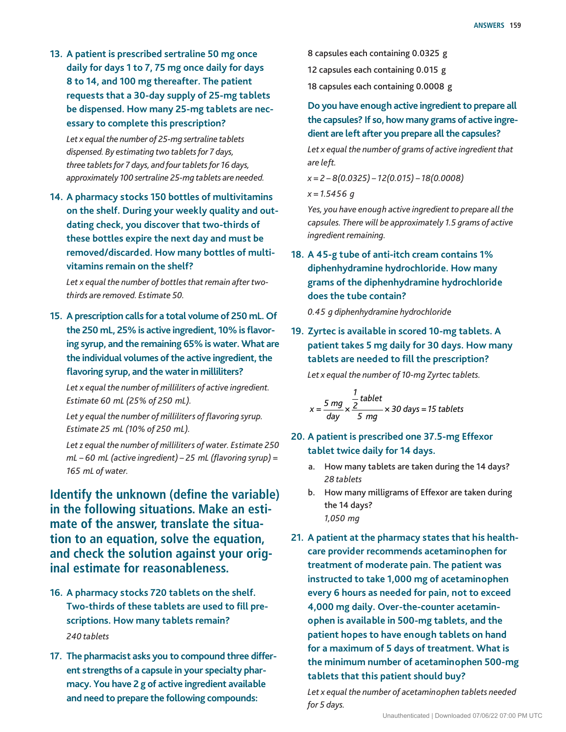**13. A patient is prescribed sertraline 50 mg once daily for days 1 to 7, 75 mg once daily for days 8 to 14, and 100 mg thereafter. The patient requests that a 30-day supply of 25-mg tablets be dispensed. How many 25-mg tablets are necessary to complete this prescription?**

 *Let x equal the number of 25-mg sertraline tablets dispensed. By estimating two tablets for 7 days, three tablets for 7 days, and four tablets for 16 days, approximately 100 sertraline 25-mg tablets are needed.*

**14. A pharmacy stocks 150 bottles of multivitamins on the shelf. During your weekly quality and outdating check, you discover that two-thirds of these bottles expire the next day and must be removed/discarded. How many bottles of multivitamins remain on the shelf?**

 *Let x equal the number of bottles that remain after twothirds are removed. Estimate 50.*

**15. A prescription calls for a total volume of 250 mL. Of the 250 mL, 25% is active ingredient, 10% is flavoring syrup, and the remaining 65% is water. What are the individual volumes of the active ingredient, the flavoring syrup, and the water in milliliters?**

 *Let x equal the number of milliliters of active ingredient. Estimate 60 mL (25% of 250 mL).*

*Let y equal the number of milliliters of flavoring syrup. Estimate 25 mL (10% of 250 mL).*

 *Let z equal the number of milliliters of water. Estimate 250 mL – 60 mL (active ingredient) – 25 mL (flavoring syrup) = 165 mL of water.*

**Identify the unknown (define the variable) in the following situations. Make an estimate of the answer, translate the situation to an equation, solve the equation, and check the solution against your original estimate for reasonableness.**

- **16. A pharmacy stocks 720 tablets on the shelf. Two-thirds of these tablets are used to fill prescriptions. How many tablets remain?**  *240 tablets*
- **17. The pharmacist asks you to compound three different strengths of a capsule in your specialty pharmacy. You have 2 g of active ingredient available and need to prepare the following compounds:**

8 capsules each containing 0.0325 g

12 capsules each containing 0.015 g

18 capsules each containing 0.0008 g

**Do you have enough active ingredient to prepare all the capsules? If so, how many grams of active ingredient are left after you prepare all the capsules?**

 *Let x equal the number of grams of active ingredient that are left.*

 *x = 2 – 8(0.0325) – 12(0.015) – 18(0.0008)*

 *x = 1.5456 g*

 *Yes, you have enough active ingredient to prepare all the capsules. There will be approximately 1.5 grams of active ingredient remaining.*

**18. A 45-g tube of anti-itch cream contains 1% diphenhydramine hydrochloride. How many grams of the diphenhydramine hydrochloride does the tube contain?**

 *0.45 g diphenhydramine hydrochloride*

**19. Zyrtec is available in scored 10-mg tablets. A patient takes 5 mg daily for 30 days. How many tablets are needed to fill the prescription?**

 *Let x equal the number of 10-mg Zyrtec tablets.*

$$
x = \frac{5 mg}{day} \times \frac{\frac{1}{2} \t tablet}{5 mg} \times 30 \text{ days} = 15 \text{ tablets}
$$

- **20. A patient is prescribed one 37.5-mg Effexor tablet twice daily for 14 days.**
	- a. How many tablets are taken during the 14 days? *28 tablets*
	- b. How many milligrams of Effexor are taken during the 14 days? *1,050 mg*
- **21. A patient at the pharmacy states that his healthcare provider recommends acetaminophen for treatment of moderate pain. The patient was instructed to take 1,000 mg of acetaminophen every 6 hours as needed for pain, not to exceed 4,000 mg daily. Over-the-counter acetaminophen is available in 500-mg tablets, and the patient hopes to have enough tablets on hand for a maximum of 5 days of treatment. What is the minimum number of acetaminophen 500-mg tablets that this patient should buy?**

 *Let x equal the number of acetaminophen tablets needed for 5 days.*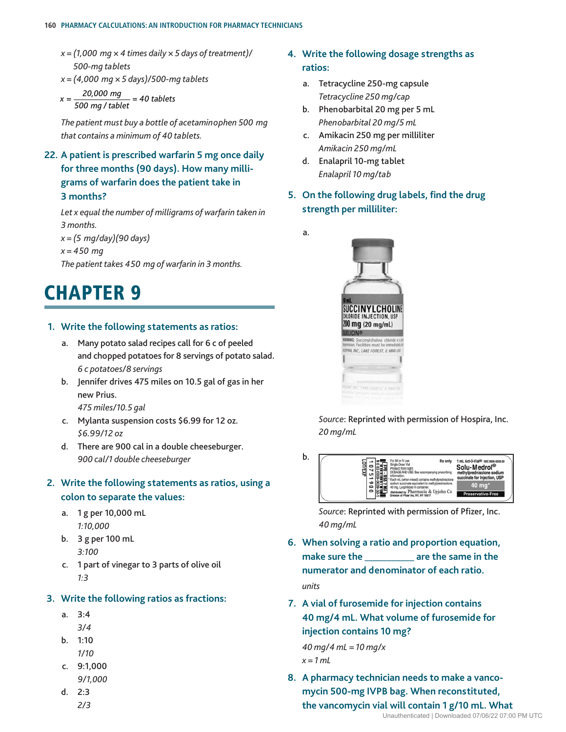#### **160 Pharmacy Calculations: An Introduction for Pharmacy Technicians**

- *x = (1,000 mg × 4 times daily × 5 days of treatment)/ 500-mg tablets*
- *x = (4,000 mg × 5 days)/500-mg tablets*
- *x = 20,000 mg 500 mg /tablet = 40 tablets*

 *The patient must buy a bottle of acetaminophen 500 mg that contains a minimum of 40 tablets.*

**22. A patient is prescribed warfarin 5 mg once daily for three months (90 days). How many milligrams of warfarin does the patient take in 3 months?**

 *Let x equal the number of milligrams of warfarin taken in 3 months.*

 *x = (5 mg/day)(90 days) x = 450 mg The patient takes 450 mg of warfarin in 3 months.*

## **CHAPTER 9**

#### **1. Write the following statements as ratios:**

- a. Many potato salad recipes call for 6 c of peeled and chopped potatoes for 8 servings of potato salad. *6 c potatoes/8 servings*
- b. Jennifer drives 475 miles on 10.5 gal of gas in her new Prius.

*475 miles/10.5 gal*

- c. Mylanta suspension costs \$6.99 for 12 oz.  *\$6.99/12 oz*
- d. There are 900 cal in a double cheeseburger.  *900 cal/1 double cheeseburger*

### **2. Write the following statements as ratios, using a colon to separate the values:**

- a. 1 g per 10,000 mL  *1:10,000*
- b. 3 g per 100 mL  *3:100*
- c. 1 part of vinegar to 3 parts of olive oil  *1:3*

#### **3. Write the following ratios as fractions:**

- a. 3:4
	- *3/4*
- b. 1:10  *1/10*
- c. 9:1,000
	- *9/1,000*
- d. 2:3  *2/3*
- **4. Write the following dosage strengths as ratios:**
	- a. Tetracycline 250-mg capsule  *Tetracycline 250 mg/cap*
	- b. Phenobarbital 20 mg per 5 mL  *Phenobarbital 20 mg/5 mL*
	- c. Amikacin 250 mg per milliliter  *Amikacin 250 mg/mL*
	- d. Enalapril 10-mg tablet  *Enalapril 10 mg/tab*
- **5. On the following drug labels, find the drug strength per milliliter:**
	- a.



 *Source*: Reprinted with permission of Hospira, Inc.  *20 mg/mL*



 *Source*: Reprinted with permission of Pfizer, Inc.  *40 mg/mL*

- **6. When solving a ratio and proportion equation,**  make sure the **are the same in the numerator and denominator of each ratio.** *units*
- **7. A vial of furosemide for injection contains 40 mg/4 mL. What volume of furosemide for injection contains 10 mg?**

*40 mg/4 mL = 10 mg/x x = 1 mL*

**8. A pharmacy technician needs to make a vancomycin 500-mg IVPB bag. When reconstituted, the vancomycin vial will contain 1 g/10 mL. What**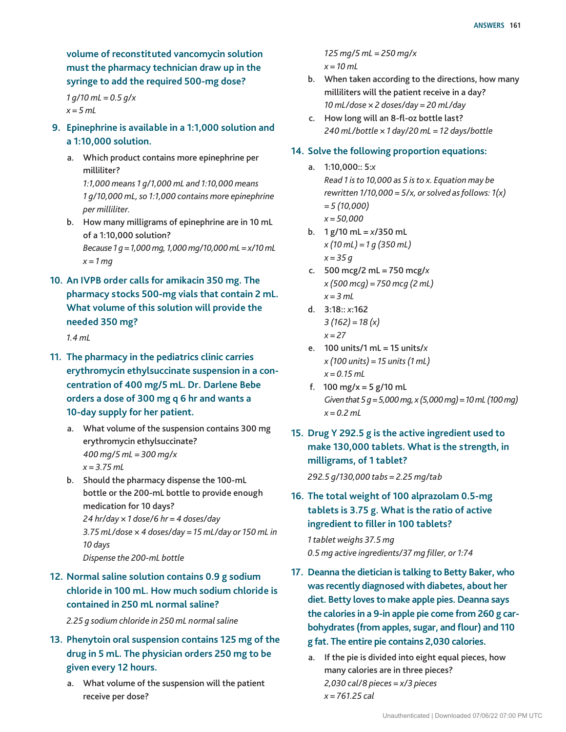**volume of reconstituted vancomycin solution must the pharmacy technician draw up in the syringe to add the required 500-mg dose?**

*1 g/10 mL = 0.5 g/x x = 5 mL*

- **9. Epinephrine is available in a 1:1,000 solution and a 1:10,000 solution.**
	- a. Which product contains more epinephrine per milliliter?

 *1:1,000 means 1 g/1,000 mL and 1:10,000 means 1 g/10,000 mL, so 1:1,000 contains more epinephrine per milliliter.*

- b. How many milligrams of epinephrine are in 10 mL of a 1:10,000 solution?  *Because 1 g = 1,000 mg, 1,000 mg/10,000 mL = x/10 mL*
	- *x = 1 mg*
- **10. An IVPB order calls for amikacin 350 mg. The pharmacy stocks 500-mg vials that contain 2 mL. What volume of this solution will provide the needed 350 mg?**

*1.4 mL*

- **11. The pharmacy in the pediatrics clinic carries erythromycin ethylsuccinate suspension in a concentration of 400 mg/5 mL. Dr. Darlene Bebe orders a dose of 300 mg q 6 hr and wants a 10-day supply for her patient.**
	- a. What volume of the suspension contains 300 mg erythromycin ethylsuccinate?  *400 mg/5 mL = 300 mg/x x = 3.75 mL*
	- b. Should the pharmacy dispense the 100-mL bottle or the 200-mL bottle to provide enough medication for 10 days?  *24 hr/day × 1 dose/6 hr = 4 doses/day*

 *3.75 mL/dose × 4 doses/day = 15 mL/day or 150 mL in 10 days*

## *Dispense the 200-mL bottle*

## **12. Normal saline solution contains 0.9 g sodium chloride in 100 mL. How much sodium chloride is contained in 250 mL normal saline?**

*2.25 g sodium chloride in 250 mL normal saline*

- **13. Phenytoin oral suspension contains 125 mg of the drug in 5 mL. The physician orders 250 mg to be given every 12 hours.**
	- a. What volume of the suspension will the patient receive per dose?

 *125 mg/5 mL = 250 mg/x x = 10 mL*

- b. When taken according to the directions, how many milliliters will the patient receive in a day?  *10 mL/dose × 2 doses/day = 20 mL/day*
- c. How long will an 8-fl-oz bottle last?  *240 mL/bottle × 1 day/20 mL = 12 days/bottle*

#### **14. Solve the following proportion equations:**

- a. 1:10,000:: 5:*x Read 1 is to 10,000 as 5 is to x. Equation may be rewritten 1/10,000 = 5/x, or solved as follows: 1(x) = 5 (10,000) x = 50,000*
- b. 1 g/10 mL = *x*/350 mL  *x (10 mL) = 1 g (350 mL) x = 35 g*
- c. 500 mcg/2 mL = 750 mcg/*x x (500 mcg) = 750 mcg (2 mL) x = 3 mL*
- d. 3:18:: *x*:162  *3 (162) = 18 (x) x = 27*
- e. 100 units/1 mL = 15 units/*x x (100 units) = 15 units (1 mL) x = 0.15 mL*
- f. 100 mg/x = 5 g/10 mL  *Given that 5 g = 5,000 mg, x (5,000 mg) = 10 mL (100 mg) x = 0.2 mL*
- **15. Drug Y 292.5 g is the active ingredient used to make 130,000 tablets. What is the strength, in milligrams, of 1 tablet?**

*292.5 g/130,000 tabs = 2.25 mg/tab*

**16. The total weight of 100 alprazolam 0.5-mg tablets is 3.75 g. What is the ratio of active ingredient to filler in 100 tablets?**

*1 tablet weighs 37.5 mg 0.5 mg active ingredients/37 mg filler, or 1:74*

- **17. Deanna the dietician is talking to Betty Baker, who was recently diagnosed with diabetes, about her diet. Betty loves to make apple pies. Deanna says the calories in a 9-in apple pie come from 260 g carbohydrates (from apples, sugar, and flour) and 110 g fat. The entire pie contains 2,030 calories.**
	- a. If the pie is divided into eight equal pieces, how many calories are in three pieces?  *2,030 cal/8 pieces = x/3 pieces x = 761.25 cal*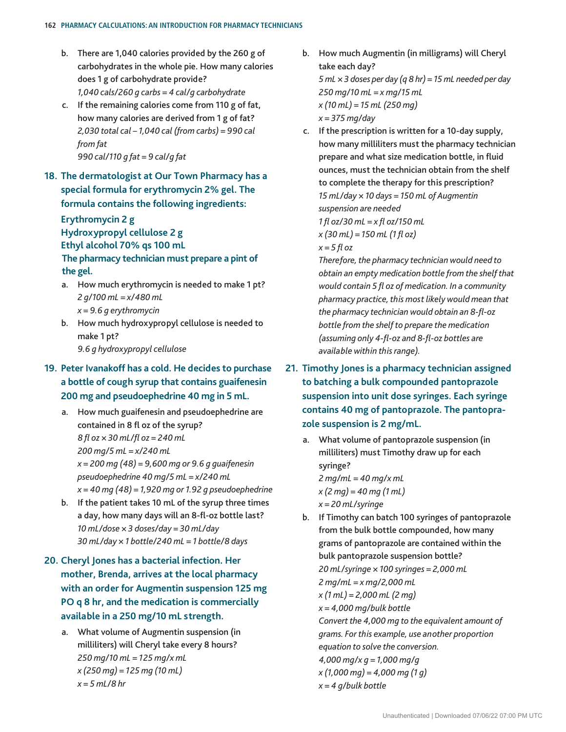#### **162 Pharmacy Calculations: An Introduction for Pharmacy Technicians**

- b. There are 1,040 calories provided by the 260 g of carbohydrates in the whole pie. How many calories does 1 g of carbohydrate provide?  *1,040 cals/260 g carbs = 4 cal/g carbohydrate*
- c. If the remaining calories come from 110 g of fat, how many calories are derived from 1 g of fat?  *2,030 total cal – 1,040 cal (from carbs) = 990 cal from fat 990 cal/110 g fat = 9 cal/g fat*
- **18. The dermatologist at Our Town Pharmacy has a special formula for erythromycin 2% gel. The formula contains the following ingredients:**

## **Erythromycin 2 g Hydroxypropyl cellulose 2 g**

**Ethyl alcohol 70% qs 100 mL The pharmacy technician must prepare a pint of the gel.**

- a. How much erythromycin is needed to make 1 pt?  *2 g/100 mL = x/480 mL x = 9.6 g erythromycin*
- b. How much hydroxypropyl cellulose is needed to make 1 pt?

 *9.6 g hydroxypropyl cellulose*

## **19. Peter Ivanakoff has a cold. He decides to purchase a bottle of cough syrup that contains guaifenesin 200 mg and pseudoephedrine 40 mg in 5 mL.**

- a. How much guaifenesin and pseudoephedrine are contained in 8 fl oz of the syrup? *8 fl oz × 30 mL/fl oz = 240 mL 200 mg/5 mL = x/240 mL x = 200 mg (48) = 9,600 mg or 9.6 g guaifenesin pseudoephedrine 40 mg/5 mL = x/240 mL x = 40 mg (48) = 1,920 mg or 1.92 g pseudoephedrine*
- b. If the patient takes 10 mL of the syrup three times a day, how many days will an 8-fl-oz bottle last?  *10 mL/dose × 3 doses/day = 30 mL/day 30 mL/day × 1 bottle/240 mL = 1 bottle/8 days*
- **20. Cheryl Jones has a bacterial infection. Her mother, Brenda, arrives at the local pharmacy with an order for Augmentin suspension 125 mg PO q 8 hr, and the medication is commercially available in a 250 mg/10 mL strength.**
	- a. What volume of Augmentin suspension (in milliliters) will Cheryl take every 8 hours?  *250 mg/10 mL = 125 mg/x mL x (250 mg) = 125 mg (10 mL) x = 5 mL/8 hr*
- b. How much Augmentin (in milligrams) will Cheryl take each day?  *5 mL × 3 doses per day (q 8 hr) = 15 mL needed per day 250 mg/10 mL = x mg/15 mL x (10 mL) = 15 mL (250 mg) x = 375 mg/day*
- c. If the prescription is written for a 10-day supply, how many milliliters must the pharmacy technician prepare and what size medication bottle, in fluid ounces, must the technician obtain from the shelf to complete the therapy for this prescription? *15 mL/day × 10 days = 150 mL of Augmentin suspension are needed 1 fl oz/30 mL = x fl oz/150 mL x (30 mL) = 150 mL (1 fl oz) x = 5 fl oz*

 *Therefore, the pharmacy technician would need to obtain an empty medication bottle from the shelf that would contain 5 fl oz of medication. In a community pharmacy practice, this most likely would mean that the pharmacy technician would obtain an 8-fl-oz bottle from the shelf to prepare the medication (assuming only 4-fl-oz and 8-fl-oz bottles are available within this range).*

- **21. Timothy Jones is a pharmacy technician assigned to batching a bulk compounded pantoprazole suspension into unit dose syringes. Each syringe contains 40 mg of pantoprazole. The pantoprazole suspension is 2 mg/mL.**
	- a. What volume of pantoprazole suspension (in milliliters) must Timothy draw up for each syringe?  *2 mg/mL = 40 mg/x mL x (2 mg) = 40 mg (1 mL) x = 20 mL/syringe*
	- b. If Timothy can batch 100 syringes of pantoprazole from the bulk bottle compounded, how many grams of pantoprazole are contained within the bulk pantoprazole suspension bottle?  *20 mL/syringe × 100 syringes = 2,000 mL 2 mg/mL = x mg/2,000 mL x (1 mL) = 2,000 mL (2 mg) x = 4,000 mg/bulk bottle Convert the 4,000 mg to the equivalent amount of grams. For this example, use another proportion equation to solve the conversion. 4,000 mg/x g = 1,000 mg/g x (1,000 mg) = 4,000 mg (1 g) x = 4 g/bulk bottle*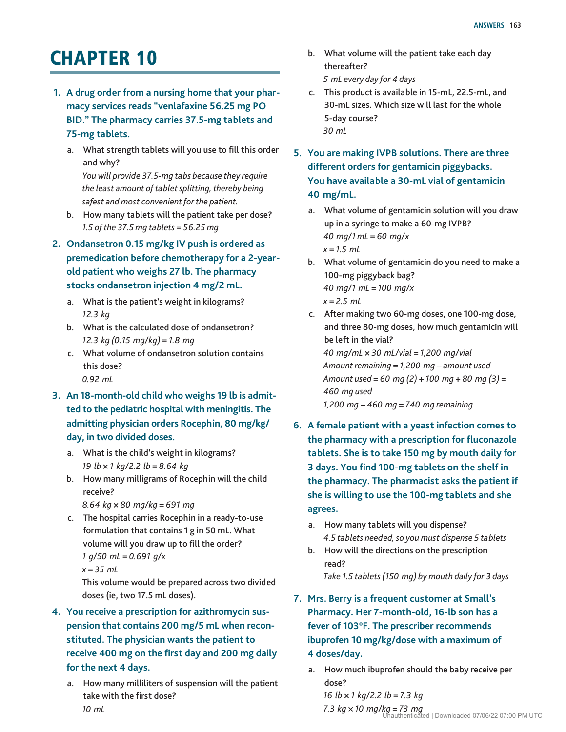## **CHAPTER 10**

- **1. A drug order from a nursing home that your pharmacy services reads "venlafaxine 56.25 mg PO BID." The pharmacy carries 37.5-mg tablets and 75-mg tablets.**
	- a. What strength tablets will you use to fill this order and why? *You will provide 37.5-mg tabs because they require the least amount of tablet splitting, thereby being safest and most convenient for the patient.*
	- b. How many tablets will the patient take per dose? *1.5 of the 37.5 mg tablets = 56.25 mg*
- **2. Ondansetron 0.15 mg/kg IV push is ordered as premedication before chemotherapy for a 2-yearold patient who weighs 27 lb. The pharmacy stocks ondansetron injection 4 mg/2 mL.**
	- a. What is the patient's weight in kilograms? *12.3 kg*
	- b. What is the calculated dose of ondansetron? *12.3 kg (0.15 mg/kg)* = *1.8 mg*
	- c. What volume of ondansetron solution contains this dose? *0.92 mL*
- **3. An 18-month-old child who weighs 19 lb is admitted to the pediatric hospital with meningitis. The admitting physician orders Rocephin, 80 mg/kg/ day, in two divided doses.**
	- a. What is the child's weight in kilograms? *19 lb* × *1 kg/2.2 lb* = *8.64 kg*
	- b. How many milligrams of Rocephin will the child receive?
		- *8.64 kg* × *80 mg/kg* = *691 mg*
	- c. The hospital carries Rocephin in a ready-to-use formulation that contains 1 g in 50 mL. What volume will you draw up to fill the order? *1 g/50 mL* = *0.691 g/x*
		- *x* = *35 mL*

This volume would be prepared across two divided doses (ie, two 17.5 mL doses).

- **4. You receive a prescription for azithromycin suspension that contains 200 mg/5 mL when reconstituted. The physician wants the patient to receive 400 mg on the first day and 200 mg daily for the next 4 days.**
	- a. How many milliliters of suspension will the patient take with the first dose? *10 mL*
- b. What volume will the patient take each day thereafter? *5 mL every day for 4 days*
- c. This product is available in 15-mL, 22.5-mL, and 30-mL sizes. Which size will last for the whole 5-day course? *30 mL*
- **5. You are making IVPB solutions. There are three different orders for gentamicin piggybacks. You have available a 30-mL vial of gentamicin 40 mg/mL.**
	- a. What volume of gentamicin solution will you draw up in a syringe to make a 60*-*mg IVPB? *40 mg/1 mL* = *60 mg/x x* = *1.5 mL*
	- b. What volume of gentamicin do you need to make a 100-mg piggyback bag? *40 mg/1 mL* = *100 mg/x x* = *2.5 mL*
	- c. After making two 60-mg doses, one 100-mg dose, and three 80-mg doses, how much gentamicin will be left in the vial? *40 mg/mL* × *30 mL/vial* = *1,200 mg/vial Amount remaining* = *1,200 mg* − *amount used Amount used* = *60 mg (2)* + *100 mg* + *80 mg (3)* = *460 mg used 1,200 mg* − *460 mg* = *740 mg remaining*
- **6. A female patient with a yeast infection comes to the pharmacy with a prescription for fluconazole tablets. She is to take 150 mg by mouth daily for 3 days. You find 100-mg tablets on the shelf in the pharmacy. The pharmacist asks the patient if she is willing to use the 100-mg tablets and she agrees.**
	- a. How many tablets will you dispense? *4.5 tablets needed, so you must dispense 5 tablets*
	- b. How will the directions on the prescription read? *Take 1.5 tablets (150 mg) by mouth daily for 3 days*
- **7. Mrs. Berry is a frequent customer at Small's Pharmacy. Her 7-month-old, 16-lb son has a fever of 103°F. The prescriber recommends ibuprofen 10 mg/kg/dose with a maximum of 4 doses/day.**
	- a. How much ibuprofen should the baby receive per dose?

*16 lb* × *1 kg/2.2 lb* = *7.3 kg 7.3 kg* × *10 mg/kg* = *73 mg* Unauthenticated | Downloaded 07/06/22 07:00 PM UTC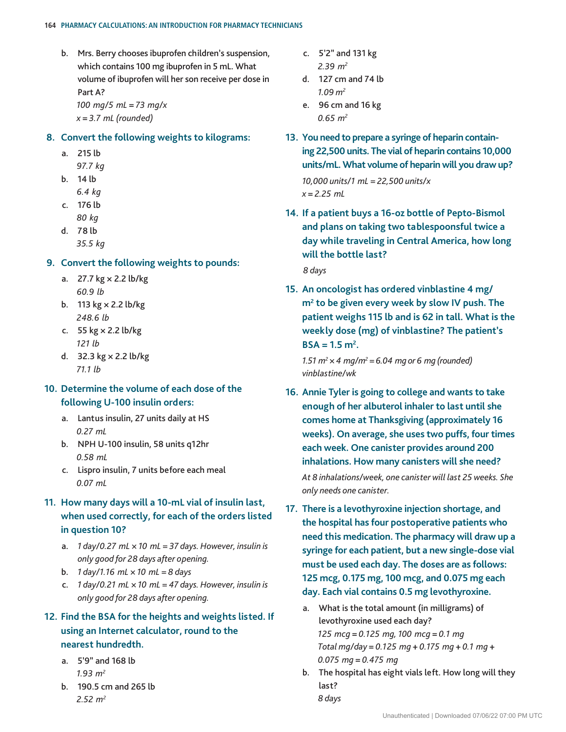b. Mrs. Berry chooses ibuprofen children's suspension, which contains 100 mg ibuprofen in 5 mL. What volume of ibuprofen will her son receive per dose in Part A? *100 mg/5 mL* = *73 mg/x x* = *3.7 mL (rounded)*

#### **8. Convert the following weights to kilograms:**

- a. 215 lb *97.7 kg*
- b. 14 lb
	- *6.4 kg*
- c. 176 lb *80 kg*
- d. 78 lb
	- *35.5 kg*

#### **9. Convert the following weights to pounds:**

- a. 27.7 kg × 2.2 lb/kg *60.9 lb*
- b. 113 kg × 2.2 lb/kg *248.6 lb*
- c. 55 kg × 2.2 lb/kg *121 lb*
- d. 32.3 kg × 2.2 lb/kg *71.1 lb*

### **10. Determine the volume of each dose of the following U-100 insulin orders:**

- a. Lantus insulin, 27 units daily at HS *0.27 mL*
- b. NPH U-100 insulin, 58 units q12hr *0.58 mL*
- c. Lispro insulin, 7 units before each meal *0.07 mL*
- **11. How many days will a 10-mL vial of insulin last, when used correctly, for each of the orders listed in question 10?**
	- a. *1 day/0.27 mL × 10 mL = 37 days. However, insulin is only good for 28 days after opening.*
	- b. *1 day/1.16 mL × 10 mL = 8 days*
	- c. *1 day/0.21 mL × 10 mL = 47 days. However, insulin is only good for 28 days after opening.*

## **12. Find the BSA for the heights and weights listed. If using an Internet calculator, round to the nearest hundredth.**

- a. 5'9" and 168 lb *1.93 m2*
- b. 190.5 cm and 265 lb *2.52 m2*
- c. 5'2" and 131 kg *2.39 m2*
- d. 127 cm and 74 lb *1.09 m2*
- e. 96 cm and 16 kg *0.65 m2*
- **13. You need to prepare a syringe of heparin containing 22,500 units. The vial of heparin contains 10,000 units/mL. What volume of heparin will you draw up?** *10,000 units/1 mL* = *22,500 units/x x* = *2.25 mL*
- **14. If a patient buys a 16-oz bottle of Pepto-Bismol and plans on taking two tablespoonsful twice a day while traveling in Central America, how long will the bottle last?**

*8 days*

**15. An oncologist has ordered vinblastine 4 mg/ m2 to be given every week by slow IV push. The patient weighs 115 lb and is 62 in tall. What is the weekly dose (mg) of vinblastine? The patient's**   $BSA = 1.5$  m<sup>2</sup>.

*1.51*  $m^2 \times 4$  *mg/m*<sup>2</sup> = 6.04 *mg* or 6 *mg* (rounded) *vinblastine/wk*

- **16. Annie Tyler is going to college and wants to take enough of her albuterol inhaler to last until she comes home at Thanksgiving (approximately 16 weeks). On average, she uses two puffs, four times each week. One canister provides around 200 inhalations. How many canisters will she need?** *At 8 inhalations/week, one canister will last 25 weeks. She only needs one canister.*
- **17. There is a levothyroxine injection shortage, and the hospital has four postoperative patients who need this medication. The pharmacy will draw up a syringe for each patient, but a new single-dose vial must be used each day. The doses are as follows: 125 mcg, 0.175 mg, 100 mcg, and 0.075 mg each day. Each vial contains 0.5 mg levothyroxine.**
	- a. What is the total amount (in milligrams) of levothyroxine used each day? *125 mcg* = *0.125 mg, 100 mcg* = *0.1 mg Total mg/day* = *0.125 mg* + *0.175 mg* + *0.1 mg* + *0.075 mg* = *0.475 mg*
	- b. The hospital has eight vials left. How long will they last? *8 days*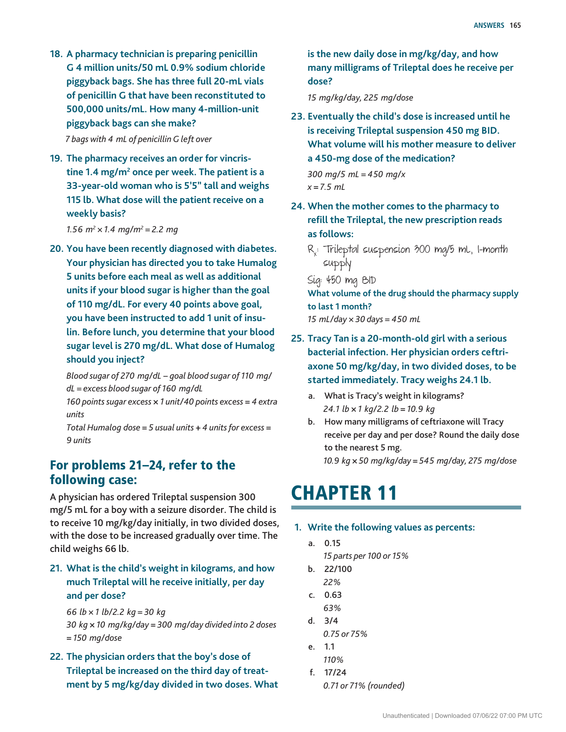**18. A pharmacy technician is preparing penicillin G 4 million units/50 mL 0.9% sodium chloride piggyback bags. She has three full 20-mL vials of penicillin G that have been reconstituted to 500,000 units/mL. How many 4-million-unit piggyback bags can she make?**

*7 bags with 4 mL of penicillin G left over*

**19. The pharmacy receives an order for vincris**tine 1.4 mg/m<sup>2</sup> once per week. The patient is a **33-year-old woman who is 5'5" tall and weighs 115 lb. What dose will the patient receive on a weekly basis?**

*1.56 m<sup>2</sup>*  $\times$  *1.4 mg/m<sup>2</sup> = 2.2 mg* 

**20. You have been recently diagnosed with diabetes. Your physician has directed you to take Humalog 5 units before each meal as well as additional units if your blood sugar is higher than the goal of 110 mg/dL. For every 40 points above goal, you have been instructed to add 1 unit of insulin. Before lunch, you determine that your blood sugar level is 270 mg/dL. What dose of Humalog should you inject?**

*Blood sugar of 270 mg/dL* − *goal blood sugar of 110 mg/ dL* = *excess blood sugar of 160 mg/dL*

*160 points sugar excess* × *1 unit/40 points excess* = *4 extra units*

*Total Humalog dose* = *5 usual units* + *4 units for excess* = *9 units*

## For problems 21–24, refer to the following case:

A physician has ordered Trileptal suspension 300 mg/5 mL for a boy with a seizure disorder. The child is to receive 10 mg/kg/day initially, in two divided doses, with the dose to be increased gradually over time. The child weighs 66 lb.

**21. What is the child's weight in kilograms, and how much Trileptal will he receive initially, per day and per dose?**

*66 lb* × *1 lb/2.2 kg* = *30 kg*

*30 kg* × *10 mg/kg/day* = *300 mg/day divided into 2 doses*  = *150 mg/dose*

**22. The physician orders that the boy's dose of Trileptal be increased on the third day of treatment by 5 mg/kg/day divided in two doses. What**  **is the new daily dose in mg/kg/day, and how many milligrams of Trileptal does he receive per dose?**

*15 mg/kg/day, 225 mg/dose*

- **23. Eventually the child's dose is increased until he is receiving Trileptal suspension 450 mg BID. What volume will his mother measure to deliver a 450-mg dose of the medication?** *300 mg/5 mL* = *450 mg/x x* = *7.5 mL*
- **24. When the mother comes to the pharmacy to refill the Trileptal, the new prescription reads as follows:**
	- Rx : Trileptal suspension 300 mg/5 mL, 1-month supply

Sig: 450 mg BID

**What volume of the drug should the pharmacy supply to last 1 month?** *15 mL/day × 30 days = 450 mL*

- **25. Tracy Tan is a 20-month-old girl with a serious bacterial infection. Her physician orders ceftriaxone 50 mg/kg/day, in two divided doses, to be started immediately. Tracy weighs 24.1 lb.**
	- a. What is Tracy's weight in kilograms? *24.1 lb* × *1 kg/2.2 lb* = *10.9 kg*
	- b. How many milligrams of ceftriaxone will Tracy receive per day and per dose? Round the daily dose to the nearest 5 mg. *10.9 kg* × *50 mg/kg/day* = *545 mg/day, 275 mg/dose*

## **CHAPTER 11**

#### **1. Write the following values as percents:**

- a. 0.15
	- *15 parts per 100 or 15%*
- b. 22/100
- *22%*
- c. 0.63  *63%*
- d. 3/4  *0.75 or 75%*
- e. 1.1  *110%*
- f. 17/24  *0.71 or 71% (rounded)*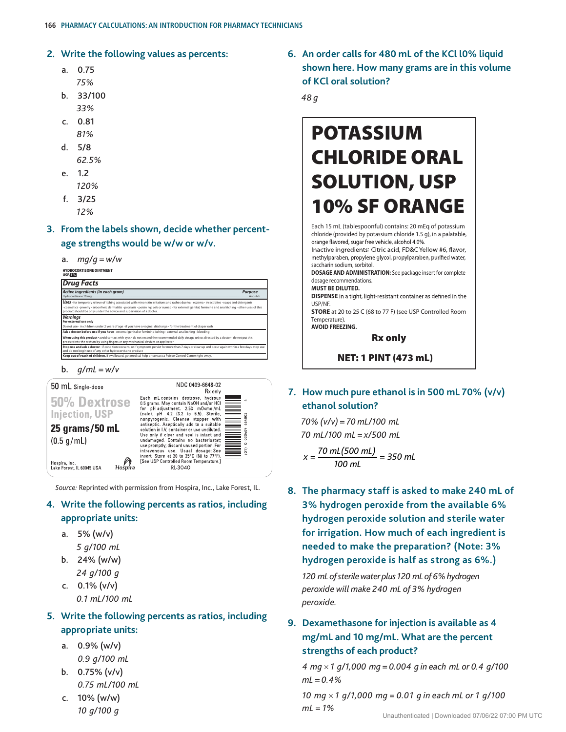#### **2. Write the following values as percents:**

- a. 0.75  *75%*
- b. 33/100  *33%*
- c. 0.81
- *81%* d. 5/8
	- *62.5%*
- e. 1.2
	- *120%*
- f. 3/25  *12%*

**3. From the labels shown, decide whether percentage strengths would be w/w or w/v.**

a. *mg/g = w/w*

#### HYDROCORTISONE OINTMENT USP, **1%**

#### *Drug Facts Active ingredients (in each gram) Purpose* Hydrocortisone 10 mg................................................................................................................................................................................................................................................... Anti-itch USES - for temporary relieve of itching associated with minor skin irritations and rashes due to: • eczema - insect bites • soaps and detergents<br>• cosmetics · jewelry · seborrheic dermatitis • psoriasis • polsin ivy, oak o *Warnings* **For external use only** of age ' if you have a vaginal discharge ' for the Ask a doctor before use if you have "external genital or feminine itching "external anal itching "bleeding<br>When using this product "avoid contact with eyes " do not exceed the recommended daily dosage unless directed by a Stop use and ask a doctor · if condition worsens, or if symptoms persist for more than 7 days or clear up and occur again within a few days, stop use and do not begin use of any other hydrocortisone product **Keep out of reach of children.** If swallowed, get medical help or contact a Poison Control Center right away.

b. *g/mL = w/v*



*Source:* Reprinted with permission from Hospira, Inc., Lake Forest, IL.

### **4. Write the following percents as ratios, including appropriate units:**

- a. 5% (w/v)
- *5 g/100 mL*
- b. 24% (w/w)  *24 g/100 g*
- c.  $0.1\%$  (v/v)  *0.1 mL/100 mL*

## **5. Write the following percents as ratios, including appropriate units:**

- a. 0.9% (w/v)  *0.9 g/100 mL*
- b.  $0.75\%$  (v/v)  *0.75 mL/100 mL*
- c. 10% (w/w)  *10 g/100 g*

**6. An order calls for 480 mL of the KCl l0% liquid shown here. How many grams are in this volume of KCl oral solution?**

*48 g*

## POTASSIUM CHLORIDE ORAL SOLUTION, USP 10% SF ORANGE

Each 15 mL (tablespoonful) contains: 20 mEq of potassium chloride (provided by potassium chloride 1.5 g), in a palatable, orange flavored, sugar free vehicle, alcohol 4.0%.

Inactive ingredients: Citric acid, FD&C Yellow #6, flavor, methylparaben, propylene glycol, propylparaben, purified water, saccharin sodium, sorbitol.

**DOSAGE AND ADMINISTRATION:** See package insert for complete dosage recommendations. **MUST BE DILUTED.**

**DISPENSE** in a tight, light-resistant container as defined in the USP/NF.

**STORE** at 20 to 25 C (68 to 77 F) (see USP Controlled Room Temperature). **AVOID FREEZING.**

Rx only

NET: 1 PINT (473 mL)

**7. How much pure ethanol is in 500 mL 70% (v/v) ethanol solution?**

*70% (v/v) = 70 mL/100 mL 70 mL/100 mL = x/500 mL*

$$
x = \frac{70 \text{ mL}(500 \text{ mL})}{100 \text{ mL}} = 350 \text{ mL}
$$

**8. The pharmacy staff is asked to make 240 mL of 3% hydrogen peroxide from the available 6% hydrogen peroxide solution and sterile water for irrigation. How much of each ingredient is needed to make the preparation? (Note: 3% hydrogen peroxide is half as strong as 6%.)**

*120 mL of sterile water plus 120 mL of 6% hydrogen peroxide will make 240 mL of 3% hydrogen peroxide.*

## **9. Dexamethasone for injection is available as 4 mg/mL and 10 mg/mL. What are the percent strengths of each product?**

*4 mg* × *1 g/1,000 mg = 0.004 g in each mL or 0.4 g/100 mL = 0.4%*

*10 mg* × *1 g/1,000 mg = 0.01 g in each mL or 1 g/100 mL = 1%*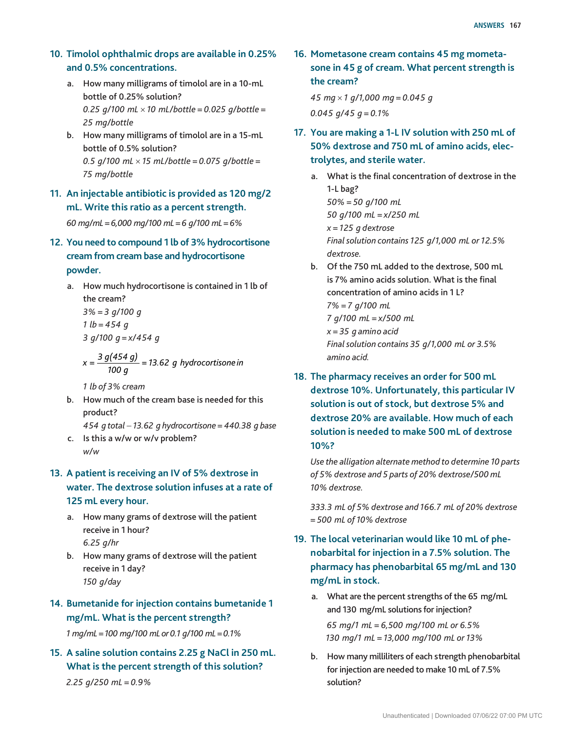### **10. Timolol ophthalmic drops are available in 0.25% and 0.5% concentrations.**

- a. How many milligrams of timolol are in a 10-mL bottle of 0.25% solution?  *0.25 g/100 mL* × *10 mL/bottle = 0.025 g/bottle = 25 mg/bottle*
- b. How many milligrams of timolol are in a 15-mL bottle of 0.5% solution?  *0.5 g/100 mL* × *15 mL/bottle = 0.075 g/bottle = 75 mg/bottle*
- **11. An injectable antibiotic is provided as 120 mg/2 mL. Write this ratio as a percent strength.**

 *60 mg/mL = 6,000 mg/100 mL = 6 g/100 mL = 6%*

- **12. You need to compound 1 lb of 3% hydrocortisone cream from cream base and hydrocortisone powder.**
	- a. How much hydrocortisone is contained in 1 lb of the cream? *3% = 3 g/100 g 1 lb = 454 g 3 g/100 g = x/454 g*

$$
x = \frac{3 g(454 g)}{100 g} = 13.62 g
$$
 hydrocortisone in

*1 lb of 3% cream*

- b. How much of the cream base is needed for this product?
- *454 g total* − *13.62 g hydrocortisone = 440.38 g base* c. Is this a w/w or w/v problem?
- *w/w*
- **13. A patient is receiving an IV of 5% dextrose in water. The dextrose solution infuses at a rate of 125 mL every hour.**
	- a. How many grams of dextrose will the patient receive in 1 hour?  *6.25 g/hr*
	- b. How many grams of dextrose will the patient receive in 1 day?  *150 g/day*
- **14. Bumetanide for injection contains bumetanide 1 mg/mL. What is the percent strength?**

 *1 mg/mL = 100 mg/100 mL or 0.1 g/100 mL = 0.1%*

**15. A saline solution contains 2.25 g NaCl in 250 mL. What is the percent strength of this solution?**

 *2.25 g/250 mL = 0.9%*

**16. Mometasone cream contains 45 mg mometasone in 45 g of cream. What percent strength is the cream?**

*45 mg* × *1 g/1,000 mg = 0.045 g 0.045 g/45 g = 0.1%*

- **17. You are making a 1-L IV solution with 250 mL of 50% dextrose and 750 mL of amino acids, electrolytes, and sterile water.**
	- a. What is the final concentration of dextrose in the 1-L bag? *50% = 50 g/100 mL 50 g/100 mL = x/250 mL x = 125 g dextrose Final solution contains 125 g/1,000 mL or 12.5% dextrose.*
	- b. Of the 750 mL added to the dextrose, 500 mL is 7% amino acids solution. What is the final concentration of amino acids in 1 L? *7% = 7 g/100 mL 7 g/100 mL = x/500 mL x = 35 g amino acid Final solution contains 35 g/1,000 mL or 3.5% amino acid.*
- **18. The pharmacy receives an order for 500 mL dextrose 10%. Unfortunately, this particular IV solution is out of stock, but dextrose 5% and dextrose 20% are available. How much of each solution is needed to make 500 mL of dextrose 10%?**

*Use the alligation alternate method to determine 10 parts of 5% dextrose and 5 parts of 20% dextrose/500 mL 10% dextrose.*

*333.3 mL of 5% dextrose and 166.7 mL of 20% dextrose = 500 mL of 10% dextrose*

- **19. The local veterinarian would like 10 mL of phenobarbital for injection in a 7.5% solution. The pharmacy has phenobarbital 65 mg/mL and 130 mg/mL in stock.** 
	- a. What are the percent strengths of the 65 mg/mL and 130 mg/mL solutions for injection? *65 mg/1 mL = 6,500 mg/100 mL or 6.5% 130 mg/1 mL = 13,000 mg/100 mL or 13%*
	- b. How many milliliters of each strength phenobarbital for injection are needed to make 10 mL of 7.5% solution?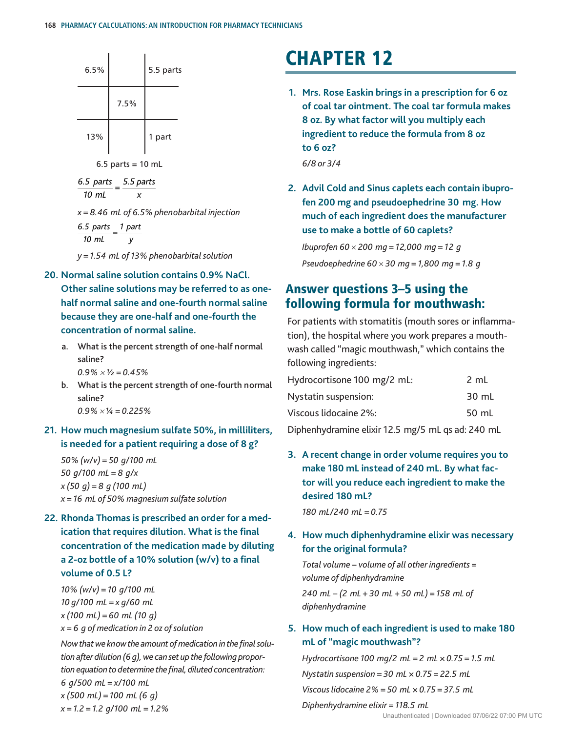

 $6.5$  parts = 10 mL

 $\frac{6.5 \text{ parts}}{10 \text{ mL}} = \frac{5.5 \text{ parts}}{x}$ 

*x = 8.46 mL of 6.5% phenobarbital injection*

*6.5 parts 10 mL <sup>=</sup> 1 part y y = 1.54 mL of 13% phenobarbital solution*

**20. Normal saline solution contains 0.9% NaCl.** 

**Other saline solutions may be referred to as onehalf normal saline and one-fourth normal saline because they are one-half and one-fourth the concentration of normal saline.**

- a. What is the percent strength of one-half normal saline?
	- $0.9\% \times \frac{1}{2} = 0.45\%$
- b. What is the percent strength of one-fourth normal saline?  *0.9%*×*¼ = 0.225%*
- **21. How much magnesium sulfate 50%, in milliliters, is needed for a patient requiring a dose of 8 g?**

 *50% (w/v) = 50 g/100 mL 50 g/100 mL = 8 g/x x (50 g) = 8 g (100 mL) x = 16 mL of 50% magnesium sulfate solution*

**22. Rhonda Thomas is prescribed an order for a medication that requires dilution. What is the final concentration of the medication made by diluting a 2-oz bottle of a 10% solution (w/v) to a final volume of 0.5 L?**

*10% (w/v) = 10 g/100 mL 10 g/100 mL = x g/60 mL x (100 mL) = 60 mL (10 g) x = 6 g of medication in 2 oz of solution Now that we know the amount of medication in the final solution after dilution (6 g), we can set up the following proportion equation to determine the final, diluted concentration:*

*6 g/500 mL = x/100 mL*

*x (500 mL) = 100 mL (6 g) x = 1.2 = 1.2 g/100 mL = 1.2%*

# **CHAPTER 12**

**1. Mrs. Rose Easkin brings in a prescription for 6 oz of coal tar ointment. The coal tar formula makes 8 oz. By what factor will you multiply each ingredient to reduce the formula from 8 oz to 6 oz?**

*6/8 or 3/4*

**2. Advil Cold and Sinus caplets each contain ibuprofen 200 mg and pseudoephedrine 30 mg. How much of each ingredient does the manufacturer use to make a bottle of 60 caplets?**

*Ibuprofen 60* × *200 mg = 12,000 mg = 12 g Pseudoephedrine 60* × *30 mg = 1,800 mg = 1.8 g*

## Answer questions 3–5 using the following formula for mouthwash:

For patients with stomatitis (mouth sores or inflammation), the hospital where you work prepares a mouthwash called "magic mouthwash," which contains the following ingredients:

| Hydrocortisone 100 mg/2 mL: | 2 mL  |
|-----------------------------|-------|
| Nystatin suspension:        | 30 mL |
| Viscous lidocaine 2%:       | 50 mL |

Diphenhydramine elixir 12.5 mg/5 mL qs ad: 240 mL

**3. A recent change in order volume requires you to make 180 mL instead of 240 mL. By what factor will you reduce each ingredient to make the desired 180 mL?**

*180 mL/240 mL = 0.75*

### **4. How much diphenhydramine elixir was necessary for the original formula?**

*Total volume − volume of all other ingredients = volume of diphenhydramine*

*240 mL − (2 mL + 30 mL + 50 mL) = 158 mL of diphenhydramine*

### **5. How much of each ingredient is used to make 180 mL of "magic mouthwash"?**

*Hydrocortisone 100 mg/2 mL = 2 mL × 0.75 = 1.5 mL Nystatin suspension = 30 mL × 0.75 = 22.5 mL Viscous lidocaine 2% = 50 mL × 0.75 = 37.5 mL*

#### *Diphenhydramine elixir = 118.5 mL*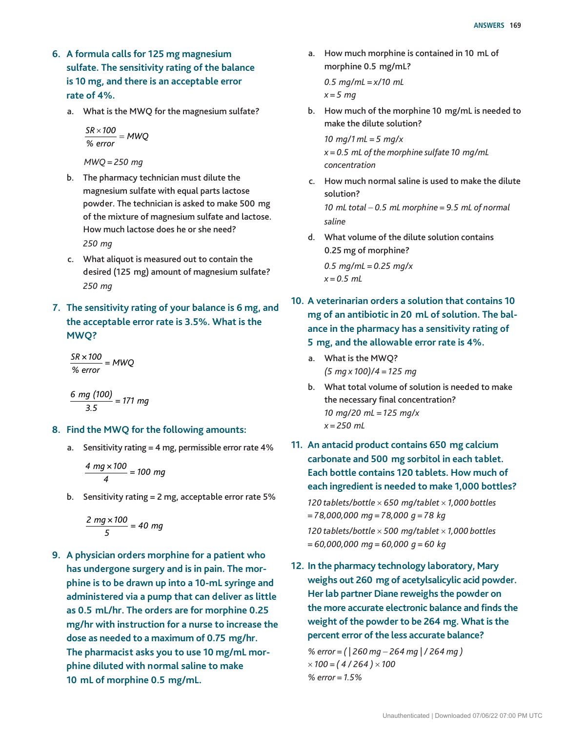- **6. A formula calls for 125 mg magnesium sulfate. The sensitivity rating of the balance is 10 mg, and there is an acceptable error rate of 4%.**
	- a. What is the MWQ for the magnesium sulfate?

*SR 100*  $\frac{SR \times 100}{%$  *error* = MWQ

*MWQ = 250 mg*

- b. The pharmacy technician must dilute the magnesium sulfate with equal parts lactose powder. The technician is asked to make 500 mg of the mixture of magnesium sulfate and lactose. How much lactose does he or she need? *250 mg*
- c. What aliquot is measured out to contain the desired (125 mg) amount of magnesium sulfate? *250 mg*
- **7. The sensitivity rating of your balance is 6 mg, and the acceptable error rate is 3.5%. What is the MWQ?**

$$
\frac{SR \times 100}{\% \text{ error}} = MWQ
$$

$$
\frac{6 \, mg \, (100)}{3.5} = 171 \, mg
$$

- **8. Find the MWQ for the following amounts:**
	- a. Sensitivity rating  $= 4$  mg, permissible error rate  $4\%$

$$
\frac{4 \text{ mg} \times 100}{4} = 100 \text{ mg}
$$

b. Sensitivity rating = 2 mg, acceptable error rate 5%

$$
\frac{2 mg \times 100}{5} = 40 mg
$$

**9. A physician orders morphine for a patient who has undergone surgery and is in pain. The morphine is to be drawn up into a 10-mL syringe and administered via a pump that can deliver as little as 0.5 mL/hr. The orders are for morphine 0.25 mg/hr with instruction for a nurse to increase the dose as needed to a maximum of 0.75 mg/hr. The pharmacist asks you to use 10 mg/mL morphine diluted with normal saline to make 10 mL of morphine 0.5 mg/mL.**

a. How much morphine is contained in 10 mL of morphine 0.5 mg/mL?

*0.5 mg/mL = x/10 mL x = 5 mg*

b. How much of the morphine 10 mg/mL is needed to make the dilute solution?

*10 mg/1 mL = 5 mg/x x = 0.5 mL of the morphine sulfate 10 mg/mL concentration*

- c. How much normal saline is used to make the dilute solution? *10 mL total* − *0.5 mL morphine = 9.5 mL of normal saline*
- d. What volume of the dilute solution contains 0.25 mg of morphine?

*0.5 mg/mL = 0.25 mg/x x = 0.5 mL*

- **10. A veterinarian orders a solution that contains 10 mg of an antibiotic in 20 mL of solution. The balance in the pharmacy has a sensitivity rating of 5 mg, and the allowable error rate is 4%.**
	- a. What is the MWQ? *(5 mg x 100)/4 = 125 mg*
	- b. What total volume of solution is needed to make the necessary final concentration? *10 mg/20 mL = 125 mg/x x = 250 mL*
- **11. An antacid product contains 650 mg calcium carbonate and 500 mg sorbitol in each tablet. Each bottle contains 120 tablets. How much of each ingredient is needed to make 1,000 bottles?** *120 tablets/bottle* × *650 mg/tablet* × *1,000 bottles = 78,000,000 mg = 78,000 g = 78 kg 120 tablets/bottle* × *500 mg/tablet* × *1,000 bottles = 60,000,000 mg = 60,000 g = 60 kg*
- **12. In the pharmacy technology laboratory, Mary weighs out 260 mg of acetylsalicylic acid powder. Her lab partner Diane reweighs the powder on the more accurate electronic balance and finds the weight of the powder to be 264 mg. What is the percent error of the less accurate balance?**

*% error = ( | 260 mg* − *264 mg | / 264 mg )*  × *100 = ( 4 / 264 )* × *100 % error = 1.5%*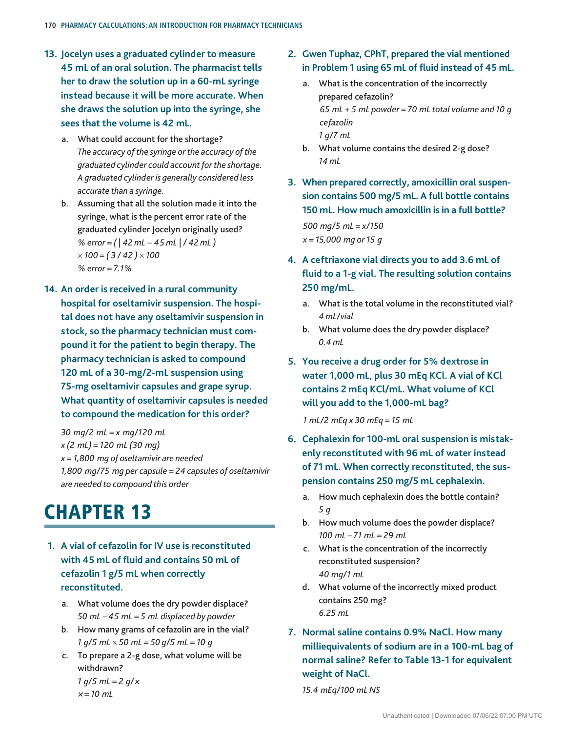- **13. Jocelyn uses a graduated cylinder to measure 45 mL of an oral solution. The pharmacist tells her to draw the solution up in a 60-mL syringe instead because it will be more accurate. When she draws the solution up into the syringe, she sees that the volume is 42 mL.**
	- a. What could account for the shortage? *The accuracy of the syringe or the accuracy of the graduated cylinder could account for the shortage. A graduated cylinder is generally considered less accurate than a syringe.*
	- b. Assuming that all the solution made it into the syringe, what is the percent error rate of the graduated cylinder Jocelyn originally used? *% error = ( | 42 mL* − *45 mL | / 42 mL )*  × *100 = ( 3 / 42 )* × *100 % error = 7.1%*
- **14. An order is received in a rural community hospital for oseltamivir suspension. The hospital does not have any oseltamivir suspension in stock, so the pharmacy technician must compound it for the patient to begin therapy. The pharmacy technician is asked to compound 120 mL of a 30-mg/2-mL suspension using 75-mg oseltamivir capsules and grape syrup. What quantity of oseltamivir capsules is needed to compound the medication for this order?**

*30 mg/2 mL = x mg/120 mL x (2 mL) = 120 mL (30 mg) x = 1,800 mg of oseltamivir are needed 1,800 mg/75 mg per capsule = 24 capsules of oseltamivir are needed to compound this order*

## **CHAPTER 13**

- **1. A vial of cefazolin for IV use is reconstituted with 45 mL of fluid and contains 50 mL of cefazolin 1 g/5 mL when correctly reconstituted.**
	- a. What volume does the dry powder displace? *50 mL – 45 mL = 5 mL displaced by powder*
	- b. How many grams of cefazolin are in the vial? *1 g/5 mL* × *50 mL = 50 g/5 mL = 10 g*
	- c. To prepare a 2-g dose, what volume will be withdrawn? *1 g/5 mL = 2 g/<sup>×</sup>*

*<sup>×</sup> = 10 mL*

- **2. Gwen Tuphaz, CPhT, prepared the vial mentioned in Problem 1 using 65 mL of fluid instead of 45 mL.**
	- a. What is the concentration of the incorrectly prepared cefazolin? *65 mL + 5 mL powder = 70 mL total volume and 10 g cefazolin 1 g/7 mL*
	- b. What volume contains the desired 2-g dose? *14 mL*
- **3. When prepared correctly, amoxicillin oral suspension contains 500 mg/5 mL. A full bottle contains 150 mL. How much amoxicillin is in a full bottle?** *500 mg/5 mL = x/150 x = 15,000 mg or 15 g*
- **4. A ceftriaxone vial directs you to add 3.6 mL of fluid to a 1-g vial. The resulting solution contains 250 mg/mL.**
	- a. What is the total volume in the reconstituted vial? *4 mL/vial*
	- b. What volume does the dry powder displace? *0.4 mL*
- **5. You receive a drug order for 5% dextrose in water 1,000 mL, plus 30 mEq KCl. A vial of KCl contains 2 mEq KCl/mL. What volume of KCl will you add to the 1,000-mL bag?**

*1 mL/2 mEq x 30 mEq = 15 mL*

- **6. Cephalexin for 100-mL oral suspension is mistakenly reconstituted with 96 mL of water instead of 71 mL. When correctly reconstituted, the suspension contains 250 mg/5 mL cephalexin.**
	- a. How much cephalexin does the bottle contain? *5 g*
	- b. How much volume does the powder displace? *100 mL – 71 mL = 29 mL*
	- c. What is the concentration of the incorrectly reconstituted suspension? *40 mg/1 mL*
	- d. What volume of the incorrectly mixed product contains 250 mg? *6.25 mL*
- **7. Normal saline contains 0.9% NaCl. How many milliequivalents of sodium are in a 100-mL bag of normal saline? Refer to Table 13-1 for equivalent weight of NaCl.**

*15.4 mEq/100 mL NS*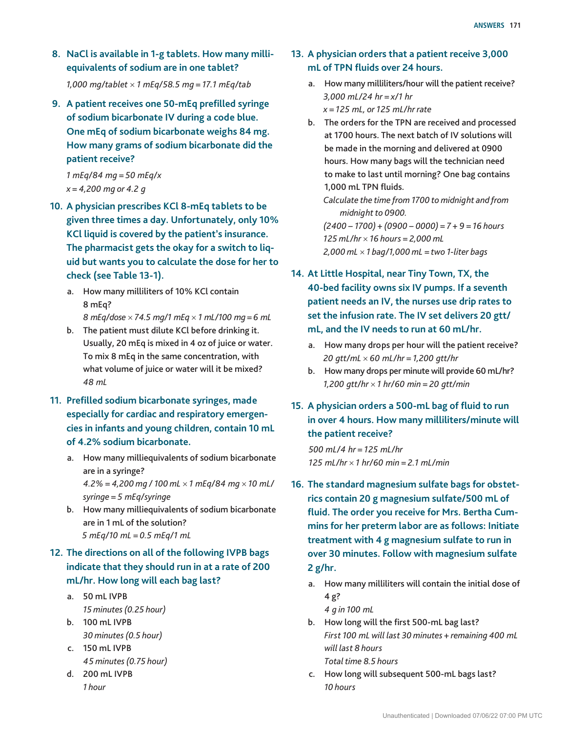**8. NaCl is available in 1-g tablets. How many milliequivalents of sodium are in one tablet?**

*1,000 mg/tablet* × *1 mEq/58.5 mg = 17.1 mEq/tab*

**9. A patient receives one 50-mEq prefilled syringe of sodium bicarbonate IV during a code blue. One mEq of sodium bicarbonate weighs 84 mg. How many grams of sodium bicarbonate did the patient receive?**

*1 mEq/84 mg = 50 mEq/x x = 4,200 mg or 4.2 g*

- **10. A physician prescribes KCl 8-mEq tablets to be given three times a day. Unfortunately, only 10% KCl liquid is covered by the patient's insurance. The pharmacist gets the okay for a switch to liquid but wants you to calculate the dose for her to check (see Table 13-1).**
	- a. How many milliliters of 10% KCl contain 8 mEq? *8 mEq/dose* × *74.5 mg/1 mEq* × *1 mL/100 mg = 6 mL*
	- b. The patient must dilute KCl before drinking it. Usually, 20 mEq is mixed in 4 oz of juice or water. To mix 8 mEq in the same concentration, with what volume of juice or water will it be mixed? *48 mL*
- **11. Prefilled sodium bicarbonate syringes, made especially for cardiac and respiratory emergencies in infants and young children, contain 10 mL of 4.2% sodium bicarbonate.**
	- a. How many milliequivalents of sodium bicarbonate are in a syringe? *4.2% = 4,200 mg / 100 mL* × *1 mEq/84 mg* × *10 mL/ syringe = 5 mEq/syringe*
	- b. How many milliequivalents of sodium bicarbonate are in 1 mL of the solution? *5 mEq/10 mL = 0.5 mEq/1 mL*

## **12. The directions on all of the following IVPB bags indicate that they should run in at a rate of 200 mL/hr. How long will each bag last?**

- a. 50 mL IVPB *15 minutes (0.25 hour)* b. 100 mL IVPB
	- *30 minutes (0.5 hour)*
- c. 150 mL IVPB *45 minutes (0.75 hour)*
- d. 200 mL IVPB *1 hour*
- **13. A physician orders that a patient receive 3,000 mL of TPN fluids over 24 hours.**
	- a. How many milliliters/hour will the patient receive? *3,000 mL/24 hr = x/1 hr x = 125 mL, or 125 mL/hr rate*
	- b. The orders for the TPN are received and processed at 1700 hours. The next batch of IV solutions will be made in the morning and delivered at 0900 hours. How many bags will the technician need to make to last until morning? One bag contains 1,000 mL TPN fluids.

*Calculate the time from 1700 to midnight and from midnight to 0900.*

*(2400 − 1700) + (0900 − 0000) = 7 + 9 = 16 hours 125 mL/hr* × *16 hours = 2,000 mL 2,000 mL* × *1 bag/1,000 mL = two 1-liter bags*

- **14. At Little Hospital, near Tiny Town, TX, the 40-bed facility owns six IV pumps. If a seventh patient needs an IV, the nurses use drip rates to set the infusion rate. The IV set delivers 20 gtt/ mL, and the IV needs to run at 60 mL/hr.**
	- a. How many drops per hour will the patient receive? *20 gtt/mL* × *60 mL/hr = 1,200 gtt/hr*
	- b. How many drops per minute will provide 60 mL/hr? *1,200 gtt/hr* × *1 hr/60 min = 20 gtt/min*
- **15. A physician orders a 500-mL bag of fluid to run in over 4 hours. How many milliliters/minute will the patient receive?**

*500 mL/4 hr = 125 mL/hr 125 mL/hr* × *1 hr/60 min = 2.1 mL/min*

- **16. The standard magnesium sulfate bags for obstetrics contain 20 g magnesium sulfate/500 mL of fluid. The order you receive for Mrs. Bertha Cummins for her preterm labor are as follows: Initiate treatment with 4 g magnesium sulfate to run in over 30 minutes. Follow with magnesium sulfate 2 g/hr.**
	- a. How many milliliters will contain the initial dose of 4 g?

*4 g in 100 mL*

- b. How long will the first 500-mL bag last? *First 100 mL will last 30 minutes + remaining 400 mL will last 8 hours Total time 8.5 hours*
- c. How long will subsequent 500-mL bags last? *10 hours*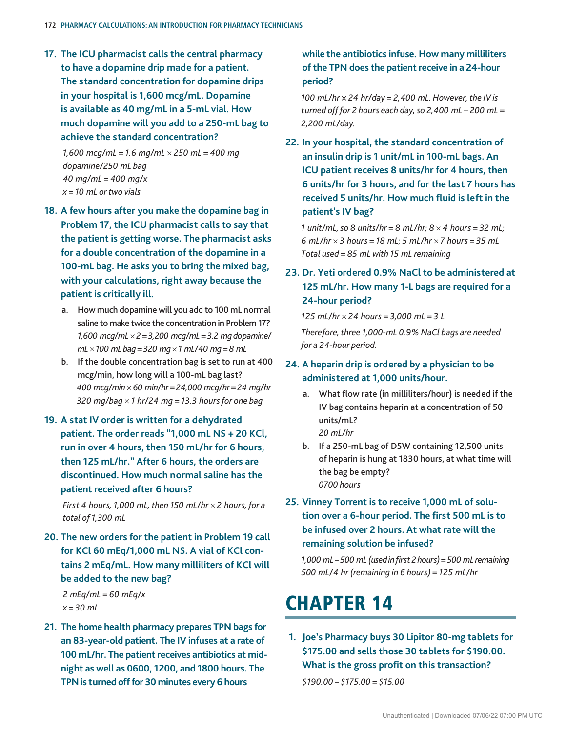**17. The ICU pharmacist calls the central pharmacy to have a dopamine drip made for a patient. The standard concentration for dopamine drips in your hospital is 1,600 mcg/mL. Dopamine is available as 40 mg/mL in a 5-mL vial. How much dopamine will you add to a 250-mL bag to achieve the standard concentration?**

*1,600 mcg/mL = 1.6 mg/mL* × *250 mL = 400 mg dopamine/250 mL bag 40 mg/mL = 400 mg/x x = 10 mL or two vials*

- **18. A few hours after you make the dopamine bag in Problem 17, the ICU pharmacist calls to say that the patient is getting worse. The pharmacist asks for a double concentration of the dopamine in a 100-mL bag. He asks you to bring the mixed bag, with your calculations, right away because the patient is critically ill.**
	- a. How much dopamine will you add to 100 mL normal saline to make twice the concentration in Problem 17? *1,600 mcg/mL* × *2 = 3,200 mcg/mL = 3.2 mg dopamine/ mL* × *100 mL bag = 320 mg* × *1 mL/40 mg = 8 mL*
	- b. If the double concentration bag is set to run at 400 mcg/min, how long will a 100-mL bag last? *400 mcg/min* × *60 min/hr = 24,000 mcg/hr = 24 mg/hr 320 mg/bag* × *1 hr/24 mg = 13.3 hours for one bag*
- **19. A stat IV order is written for a dehydrated patient. The order reads "1,000 mL NS + 20 KCl, run in over 4 hours, then 150 mL/hr for 6 hours, then 125 mL/hr." After 6 hours, the orders are discontinued. How much normal saline has the patient received after 6 hours?**

*First 4 hours, 1,000 mL, then 150 mL/hr* × *2 hours, for a total of 1,300 mL*

**20. The new orders for the patient in Problem 19 call for KCl 60 mEq/1,000 mL NS. A vial of KCl contains 2 mEq/mL. How many milliliters of KCl will be added to the new bag?**

*2 mEq/mL = 60 mEq/x x = 30 mL*

**21. The home health pharmacy prepares TPN bags for an 83-year-old patient. The IV infuses at a rate of 100 mL/hr. The patient receives antibiotics at midnight as well as 0600, 1200, and 1800 hours. The TPN is turned off for 30 minutes every 6 hours** 

**while the antibiotics infuse. How many milliliters of the TPN does the patient receive in a 24-hour period?**

*100 mL/hr × 24 hr/day = 2,400 mL. However, the IV is turned off for 2 hours each day, so 2,400 mL – 200 mL = 2,200 mL/day.* 

**22. In your hospital, the standard concentration of an insulin drip is 1 unit/mL in 100-mL bags. An ICU patient receives 8 units/hr for 4 hours, then 6 units/hr for 3 hours, and for the last 7 hours has received 5 units/hr. How much fluid is left in the patient's IV bag?**

*1 unit/mL, so 8 units/hr = 8 mL/hr; 8* × *4 hours = 32 mL; 6 mL/hr* × *3 hours = 18 mL; 5 mL/hr* × *7 hours = 35 mL Total used = 85 mL with 15 mL remaining*

**23. Dr. Yeti ordered 0.9% NaCl to be administered at 125 mL/hr. How many 1-L bags are required for a 24-hour period?**

*125 mL/hr* × *24 hours = 3,000 mL = 3 L*

*Therefore, three 1,000-mL 0.9% NaCl bags are needed for a 24-hour period.*

- **24. A heparin drip is ordered by a physician to be administered at 1,000 units/hour.**
	- a. What flow rate (in milliliters/hour) is needed if the IV bag contains heparin at a concentration of 50 units/mL? *20 mL/hr*
	- b. If a 250-mL bag of D5W containing 12,500 units of heparin is hung at 1830 hours, at what time will the bag be empty? *0700 hours*
- **25. Vinney Torrent is to receive 1,000 mL of solution over a 6-hour period. The first 500 mL is to be infused over 2 hours. At what rate will the remaining solution be infused?**

*1,000 mL – 500 mL (used in first 2 hours) = 500 mL remaining 500 mL/4 hr (remaining in 6 hours) = 125 mL/hr*

## **CHAPTER 14**

**1. Joe's Pharmacy buys 30 Lipitor 80-mg tablets for \$175.00 and sells those 30 tablets for \$190.00. What is the gross profit on this transaction?** *\$190.00 – \$175.00 = \$15.00*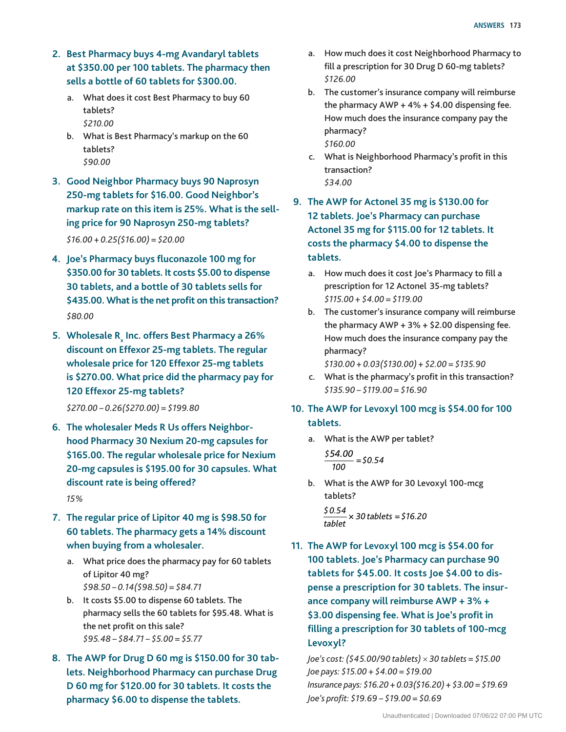- **2. Best Pharmacy buys 4-mg Avandaryl tablets at \$350.00 per 100 tablets. The pharmacy then sells a bottle of 60 tablets for \$300.00.**
	- a. What does it cost Best Pharmacy to buy 60 tablets? *\$210.00*
	- b. What is Best Pharmacy's markup on the 60 tablets? *\$90.00*
- **3. Good Neighbor Pharmacy buys 90 Naprosyn 250-mg tablets for \$16.00. Good Neighbor's markup rate on this item is 25%. What is the selling price for 90 Naprosyn 250-mg tablets?** *\$16.00 + 0.25(\$16.00) = \$20.00*
- **4. Joe's Pharmacy buys fluconazole 100 mg for \$350.00 for 30 tablets. It costs \$5.00 to dispense 30 tablets, and a bottle of 30 tablets sells for \$435.00. What is the net profit on this transaction?** *\$80.00*
- **5.** Wholesale R<sub>x</sub> Inc. offers Best Pharmacy a 26% **discount on Effexor 25-mg tablets. The regular wholesale price for 120 Effexor 25-mg tablets is \$270.00. What price did the pharmacy pay for 120 Effexor 25-mg tablets?**

*\$270.00 – 0.26(\$270.00) = \$199.80*

**6. The wholesaler Meds R Us offers Neighborhood Pharmacy 30 Nexium 20-mg capsules for \$165.00. The regular wholesale price for Nexium 20-mg capsules is \$195.00 for 30 capsules. What discount rate is being offered?**

*15%*

- **7. The regular price of Lipitor 40 mg is \$98.50 for 60 tablets. The pharmacy gets a 14% discount when buying from a wholesaler.**
	- a. What price does the pharmacy pay for 60 tablets of Lipitor 40 mg? *\$98.50 – 0.14(\$98.50) = \$84.71*
	- b. It costs \$5.00 to dispense 60 tablets. The pharmacy sells the 60 tablets for \$95.48. What is the net profit on this sale? *\$95.48 – \$84.71 – \$5.00 = \$5.77*
- **8. The AWP for Drug D 60 mg is \$150.00 for 30 tablets. Neighborhood Pharmacy can purchase Drug D 60 mg for \$120.00 for 30 tablets. It costs the pharmacy \$6.00 to dispense the tablets.**
- a. How much does it cost Neighborhood Pharmacy to fill a prescription for 30 Drug D 60-mg tablets? *\$126.00*
- b. The customer's insurance company will reimburse the pharmacy  $AWP + 4% + $4.00$  dispensing fee. How much does the insurance company pay the pharmacy? *\$160.00*
- c. What is Neighborhood Pharmacy's profit in this transaction? *\$34.00*
- **9. The AWP for Actonel 35 mg is \$130.00 for 12 tablets. Joe's Pharmacy can purchase Actonel 35 mg for \$115.00 for 12 tablets. It costs the pharmacy \$4.00 to dispense the tablets.**
	- a. How much does it cost Joe's Pharmacy to fill a prescription for 12 Actonel 35-mg tablets? *\$115.00 + \$4.00 = \$119.00*
	- b. The customer's insurance company will reimburse the pharmacy  $AWP + 3% + $2.00$  dispensing fee. How much does the insurance company pay the pharmacy? *\$130.00 + 0.03(\$130.00) + \$2.00 = \$135.90*
	- c. What is the pharmacy's profit in this transaction? *\$135.90 – \$119.00 = \$16.90*
- **10. The AWP for Levoxyl 100 mcg is \$54.00 for 100 tablets.**
	- a. What is the AWP per tablet?

$$
\frac{$54.00}{$100} = $0.54
$$

b. What is the AWP for 30 Levoxyl 100-mcg tablets? *\$ 0.54*

*tablet* × *30 tablets \$* = *16.20*

**11. The AWP for Levoxyl 100 mcg is \$54.00 for 100 tablets. Joe's Pharmacy can purchase 90 tablets for \$45.00. It costs Joe \$4.00 to dispense a prescription for 30 tablets. The insurance company will reimburse AWP + 3% + \$3.00 dispensing fee. What is Joe's profit in filling a prescription for 30 tablets of 100-mcg Levoxyl?**

*Joe's cost: (\$45.00/90 tablets)* × *30 tablets = \$15.00 Joe pays: \$15.00 + \$4.00 = \$19.00 Insurance pays: \$16.20 + 0.03(\$16.20) + \$3.00 = \$19.69 Joe's profit: \$19.69 – \$19.00 = \$0.69*